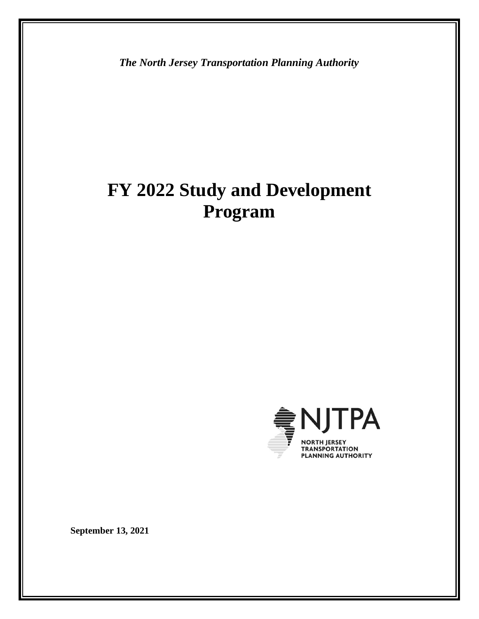*The North Jersey Transportation Planning Authority*

# **FY 2022 Study and Development Program**



**September 13, 2021**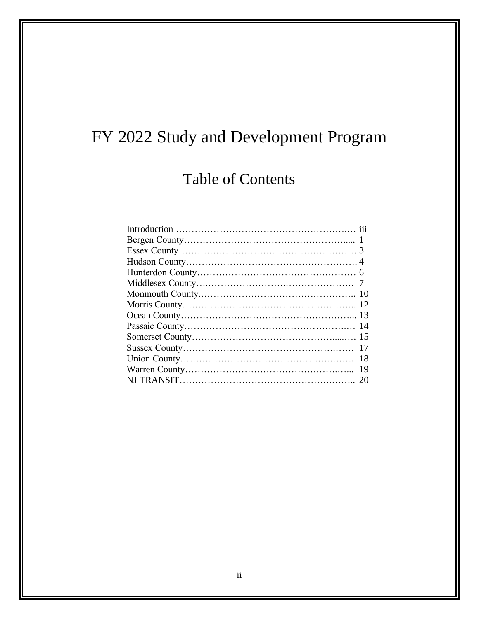# FY 2022 Study and Development Program

# Table of Contents

| 18 |
|----|
| 19 |
|    |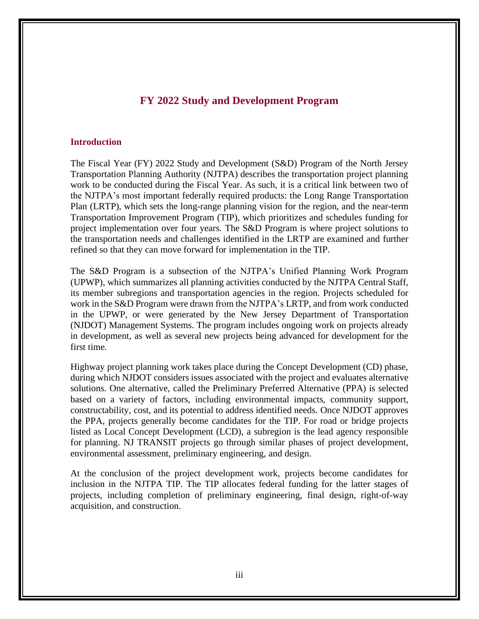### **FY 2022 Study and Development Program**

### **Introduction**

The Fiscal Year (FY) 2022 Study and Development (S&D) Program of the North Jersey Transportation Planning Authority (NJTPA) describes the transportation project planning work to be conducted during the Fiscal Year. As such, it is a critical link between two of the NJTPA's most important federally required products: the Long Range Transportation Plan (LRTP), which sets the long-range planning vision for the region, and the near-term Transportation Improvement Program (TIP), which prioritizes and schedules funding for project implementation over four years. The S&D Program is where project solutions to the transportation needs and challenges identified in the LRTP are examined and further refined so that they can move forward for implementation in the TIP.

The S&D Program is a subsection of the NJTPA's Unified Planning Work Program (UPWP), which summarizes all planning activities conducted by the NJTPA Central Staff, its member subregions and transportation agencies in the region. Projects scheduled for work in the S&D Program were drawn from the NJTPA's LRTP, and from work conducted in the UPWP, or were generated by the New Jersey Department of Transportation (NJDOT) Management Systems. The program includes ongoing work on projects already in development, as well as several new projects being advanced for development for the first time.

Highway project planning work takes place during the Concept Development (CD) phase, during which NJDOT considers issues associated with the project and evaluates alternative solutions. One alternative, called the Preliminary Preferred Alternative (PPA) is selected based on a variety of factors, including environmental impacts, community support, constructability, cost, and its potential to address identified needs. Once NJDOT approves the PPA, projects generally become candidates for the TIP. For road or bridge projects listed as Local Concept Development (LCD), a subregion is the lead agency responsible for planning. NJ TRANSIT projects go through similar phases of project development, environmental assessment, preliminary engineering, and design.

At the conclusion of the project development work, projects become candidates for inclusion in the NJTPA TIP. The TIP allocates federal funding for the latter stages of projects, including completion of preliminary engineering, final design, right-of-way acquisition, and construction.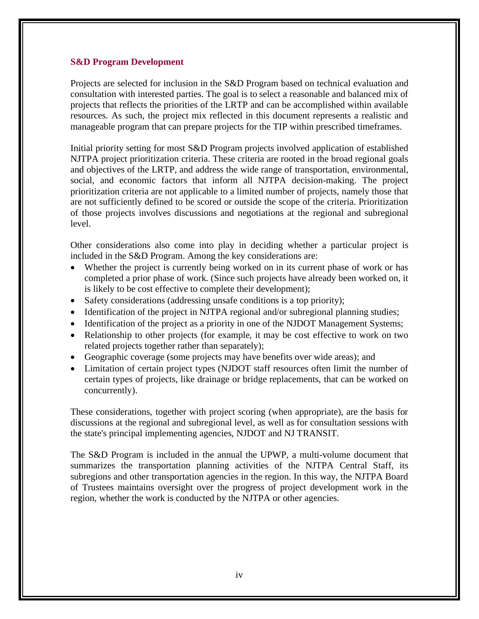### **S&D Program Development**

Projects are selected for inclusion in the S&D Program based on technical evaluation and consultation with interested parties. The goal is to select a reasonable and balanced mix of projects that reflects the priorities of the LRTP and can be accomplished within available resources. As such, the project mix reflected in this document represents a realistic and manageable program that can prepare projects for the TIP within prescribed timeframes.

Initial priority setting for most S&D Program projects involved application of established NJTPA project prioritization criteria. These criteria are rooted in the broad regional goals and objectives of the LRTP, and address the wide range of transportation, environmental, social, and economic factors that inform all NJTPA decision-making. The project prioritization criteria are not applicable to a limited number of projects, namely those that are not sufficiently defined to be scored or outside the scope of the criteria. Prioritization of those projects involves discussions and negotiations at the regional and subregional level.

Other considerations also come into play in deciding whether a particular project is included in the S&D Program. Among the key considerations are:

- Whether the project is currently being worked on in its current phase of work or has completed a prior phase of work. (Since such projects have already been worked on, it is likely to be cost effective to complete their development);
- Safety considerations (addressing unsafe conditions is a top priority);
- Identification of the project in NJTPA regional and/or subregional planning studies;
- Identification of the project as a priority in one of the NJDOT Management Systems;
- Relationship to other projects (for example, it may be cost effective to work on two related projects together rather than separately);
- Geographic coverage (some projects may have benefits over wide areas); and
- Limitation of certain project types (NJDOT staff resources often limit the number of certain types of projects, like drainage or bridge replacements, that can be worked on concurrently).

These considerations, together with project scoring (when appropriate), are the basis for discussions at the regional and subregional level, as well as for consultation sessions with the state's principal implementing agencies, NJDOT and NJ TRANSIT.

The S&D Program is included in the annual the UPWP, a multi-volume document that summarizes the transportation planning activities of the NJTPA Central Staff, its subregions and other transportation agencies in the region. In this way, the NJTPA Board of Trustees maintains oversight over the progress of project development work in the region, whether the work is conducted by the NJTPA or other agencies.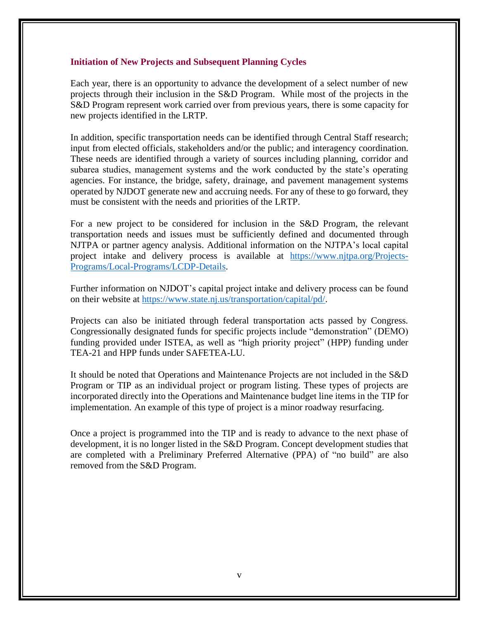#### **Initiation of New Projects and Subsequent Planning Cycles**

Each year, there is an opportunity to advance the development of a select number of new projects through their inclusion in the S&D Program. While most of the projects in the S&D Program represent work carried over from previous years, there is some capacity for new projects identified in the LRTP.

In addition, specific transportation needs can be identified through Central Staff research; input from elected officials, stakeholders and/or the public; and interagency coordination. These needs are identified through a variety of sources including planning, corridor and subarea studies, management systems and the work conducted by the state's operating agencies. For instance, the bridge, safety, drainage, and pavement management systems operated by NJDOT generate new and accruing needs. For any of these to go forward, they must be consistent with the needs and priorities of the LRTP.

For a new project to be considered for inclusion in the S&D Program, the relevant transportation needs and issues must be sufficiently defined and documented through NJTPA or partner agency analysis. Additional information on the NJTPA's local capital project intake and delivery process is available at [https://www.njtpa.org/Projects-](https://www.njtpa.org/Projects-Programs/Local-Programs/LCDP-Details.aspx?ext=)[Programs/Local-Programs/LCDP-Details.](https://www.njtpa.org/Projects-Programs/Local-Programs/LCDP-Details.aspx?ext=)

Further information on NJDOT's capital project intake and delivery process can be found on their website at [https://www.state.nj.us/transportation/capital/pd/.](https://www.state.nj.us/transportation/capital/pd/)

Projects can also be initiated through federal transportation acts passed by Congress. Congressionally designated funds for specific projects include "demonstration" (DEMO) funding provided under ISTEA, as well as "high priority project" (HPP) funding under TEA-21 and HPP funds under SAFETEA-LU.

It should be noted that Operations and Maintenance Projects are not included in the S&D Program or TIP as an individual project or program listing. These types of projects are incorporated directly into the Operations and Maintenance budget line items in the TIP for implementation. An example of this type of project is a minor roadway resurfacing.

Once a project is programmed into the TIP and is ready to advance to the next phase of development, it is no longer listed in the S&D Program. Concept development studies that are completed with a Preliminary Preferred Alternative (PPA) of "no build" are also removed from the S&D Program.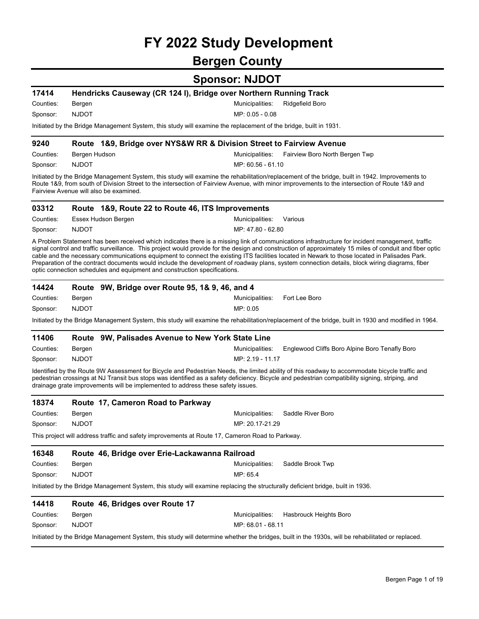# **FY 2022 Study Development**

## **Bergen County**

| 17414     |                                                                                 | Hendricks Causeway (CR 124 I), Bridge over Northern Running Track                                                                                                                                                                                                                                                                                                                                                                                                                                                                                                                                             |
|-----------|---------------------------------------------------------------------------------|---------------------------------------------------------------------------------------------------------------------------------------------------------------------------------------------------------------------------------------------------------------------------------------------------------------------------------------------------------------------------------------------------------------------------------------------------------------------------------------------------------------------------------------------------------------------------------------------------------------|
| Counties: | Bergen                                                                          | Municipalities:<br>Ridgefield Boro                                                                                                                                                                                                                                                                                                                                                                                                                                                                                                                                                                            |
| Sponsor:  | <b>NJDOT</b>                                                                    | MP: 0.05 - 0.08                                                                                                                                                                                                                                                                                                                                                                                                                                                                                                                                                                                               |
|           |                                                                                 | Initiated by the Bridge Management System, this study will examine the replacement of the bridge, built in 1931.                                                                                                                                                                                                                                                                                                                                                                                                                                                                                              |
| 9240      |                                                                                 | Route 1&9, Bridge over NYS&W RR & Division Street to Fairview Avenue                                                                                                                                                                                                                                                                                                                                                                                                                                                                                                                                          |
| Counties: | Bergen Hudson                                                                   | Municipalities:<br>Fairview Boro North Bergen Twp                                                                                                                                                                                                                                                                                                                                                                                                                                                                                                                                                             |
| Sponsor:  | <b>NJDOT</b>                                                                    | MP: 60.56 - 61.10                                                                                                                                                                                                                                                                                                                                                                                                                                                                                                                                                                                             |
|           | Fairview Avenue will also be examined.                                          | Initiated by the Bridge Management System, this study will examine the rehabilitation/replacement of the bridge, built in 1942. Improvements to<br>Route 1&9, from south of Division Street to the intersection of Fairview Avenue, with minor improvements to the intersection of Route 1&9 and                                                                                                                                                                                                                                                                                                              |
| 03312     | Route 1&9, Route 22 to Route 46, ITS Improvements                               |                                                                                                                                                                                                                                                                                                                                                                                                                                                                                                                                                                                                               |
| Counties: | Essex Hudson Bergen                                                             | Municipalities:<br>Various                                                                                                                                                                                                                                                                                                                                                                                                                                                                                                                                                                                    |
| Sponsor:  | <b>NJDOT</b>                                                                    | MP: 47.80 - 62.80                                                                                                                                                                                                                                                                                                                                                                                                                                                                                                                                                                                             |
|           | optic connection schedules and equipment and construction specifications.       | A Problem Statement has been received which indicates there is a missing link of communications infrastructure for incident management, traffic<br>signal control and traffic surveillance. This project would provide for the design and construction of approximately 15 miles of conduit and fiber optic<br>cable and the necessary communications equipment to connect the existing ITS facilities located in Newark to those located in Palisades Park.<br>Preparation of the contract documents would include the development of roadway plans, system connection details, block wiring diagrams, fiber |
| 14424     | Route 9W, Bridge over Route 95, 1& 9, 46, and 4                                 |                                                                                                                                                                                                                                                                                                                                                                                                                                                                                                                                                                                                               |
| Counties: | Bergen                                                                          | Municipalities:<br>Fort Lee Boro                                                                                                                                                                                                                                                                                                                                                                                                                                                                                                                                                                              |
| Sponsor:  | <b>NJDOT</b>                                                                    | MP: 0.05                                                                                                                                                                                                                                                                                                                                                                                                                                                                                                                                                                                                      |
|           |                                                                                 | Initiated by the Bridge Management System, this study will examine the rehabilitation/replacement of the bridge, built in 1930 and modified in 1964.                                                                                                                                                                                                                                                                                                                                                                                                                                                          |
| 11406     | Route 9W, Palisades Avenue to New York State Line                               |                                                                                                                                                                                                                                                                                                                                                                                                                                                                                                                                                                                                               |
| Counties: | Bergen                                                                          | Municipalities:<br>Englewood Cliffs Boro Alpine Boro Tenafly Boro                                                                                                                                                                                                                                                                                                                                                                                                                                                                                                                                             |
| Sponsor:  | <b>NJDOT</b>                                                                    | MP: 2.19 - 11.17                                                                                                                                                                                                                                                                                                                                                                                                                                                                                                                                                                                              |
|           | drainage grate improvements will be implemented to address these safety issues. | Identified by the Route 9W Assessment for Bicycle and Pedestrian Needs, the limited ability of this roadway to accommodate bicycle traffic and<br>pedestrian crossings at NJ Transit bus stops was identified as a safety deficiency. Bicycle and pedestrian compatibility signing, striping, and                                                                                                                                                                                                                                                                                                             |
| 18374     | Route 17, Cameron Road to Parkway                                               |                                                                                                                                                                                                                                                                                                                                                                                                                                                                                                                                                                                                               |
| Counties: | Bergen                                                                          | Saddle River Boro<br>Municipalities:                                                                                                                                                                                                                                                                                                                                                                                                                                                                                                                                                                          |
| Sponsor:  | <b>NJDOT</b>                                                                    | MP: 20.17-21.29                                                                                                                                                                                                                                                                                                                                                                                                                                                                                                                                                                                               |
|           |                                                                                 | This project will address traffic and safety improvements at Route 17, Cameron Road to Parkway.                                                                                                                                                                                                                                                                                                                                                                                                                                                                                                               |
| 16348     | Route 46, Bridge over Erie-Lackawanna Railroad                                  |                                                                                                                                                                                                                                                                                                                                                                                                                                                                                                                                                                                                               |
| Counties: | Bergen                                                                          | Municipalities:<br>Saddle Brook Twp                                                                                                                                                                                                                                                                                                                                                                                                                                                                                                                                                                           |
| Sponsor:  | <b>NJDOT</b>                                                                    | MP: 65.4                                                                                                                                                                                                                                                                                                                                                                                                                                                                                                                                                                                                      |
|           |                                                                                 | Initiated by the Bridge Management System, this study will examine replacing the structurally deficient bridge, built in 1936.                                                                                                                                                                                                                                                                                                                                                                                                                                                                                |
| 14418     | Route 46, Bridges over Route 17                                                 |                                                                                                                                                                                                                                                                                                                                                                                                                                                                                                                                                                                                               |
| Counties: | Bergen                                                                          | Municipalities:<br>Hasbrouck Heights Boro                                                                                                                                                                                                                                                                                                                                                                                                                                                                                                                                                                     |
| Sponsor:  | <b>NJDOT</b>                                                                    | MP: 68.01 - 68.11                                                                                                                                                                                                                                                                                                                                                                                                                                                                                                                                                                                             |
|           |                                                                                 | Initiated by the Bridge Management System, this study will determine whether the bridges, built in the 1930s, will be rehabilitated or replaced.                                                                                                                                                                                                                                                                                                                                                                                                                                                              |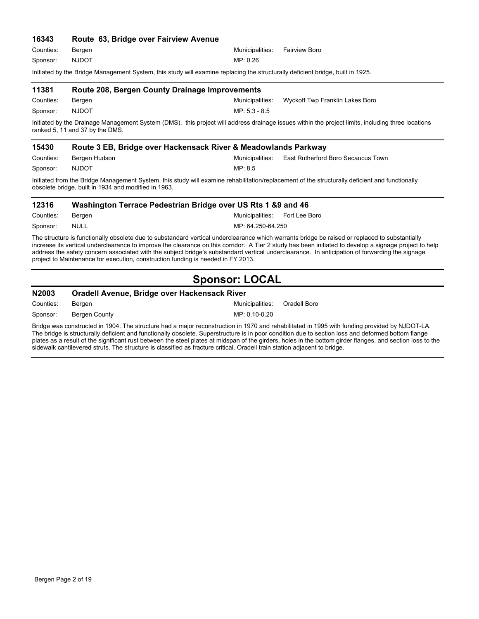| 16343     | Route 63, Bridge over Fairview Avenue                                                                                                                                                |                 |                                    |
|-----------|--------------------------------------------------------------------------------------------------------------------------------------------------------------------------------------|-----------------|------------------------------------|
| Counties: | Bergen                                                                                                                                                                               | Municipalities: | <b>Fairview Boro</b>               |
| Sponsor:  | <b>NJDOT</b>                                                                                                                                                                         | MP: 0.26        |                                    |
|           | Initiated by the Bridge Management System, this study will examine replacing the structurally deficient bridge, built in 1925.                                                       |                 |                                    |
| 11381     | <b>Route 208, Bergen County Drainage Improvements</b>                                                                                                                                |                 |                                    |
| Counties: | Bergen                                                                                                                                                                               | Municipalities: | Wyckoff Twp Franklin Lakes Boro    |
| Sponsor:  | <b>NJDOT</b>                                                                                                                                                                         | MP: 5.3 - 8.5   |                                    |
|           | Initiated by the Drainage Management System (DMS), this project will address drainage issues within the project limits, including three locations<br>ranked 5, 11 and 37 by the DMS. |                 |                                    |
| 15430     | Route 3 EB, Bridge over Hackensack River & Meadowlands Parkway                                                                                                                       |                 |                                    |
| Counties: | Bergen Hudson                                                                                                                                                                        | Municipalities: | East Rutherford Boro Secaucus Town |
| Sponsor:  | <b>NJDOT</b>                                                                                                                                                                         | MP: 8.5         |                                    |
|           | Initiated from the Bridge Management System, this study will examine rehabilitation/replacement of the structurally deficient and functionally                                       |                 |                                    |

obsolete bridge, built in 1934 and modified in 1963.

#### MP: 64.250-64.250 Counties: Bergen Municipalities: Fort Lee Boro **12316 Washington Terrace Pedestrian Bridge over US Rts 1 &9 and 46** Sponsor: NULL

The structure is functionally obsolete due to substandard vertical underclearance which warrants bridge be raised or replaced to substantially increase its vertical underclearance to improve the clearance on this corridor. A Tier 2 study has been initiated to develop a signage project to help address the safety concern associated with the subject bridge's substandard vertical underclearance. In anticipation of forwarding the signage project to Maintenance for execution, construction funding is needed in FY 2013.

### **Sponsor: LOCAL**

### **N2003 Oradell Avenue, Bridge over Hackensack River**

Counties: Bergen **Municipalities: Oradell Boro** Sponsor: Bergen County

Bridge was constructed in 1904. The structure had a major reconstruction in 1970 and rehabilitated in 1995 with funding provided by NJDOT-LA. The bridge is structurally deficient and functionally obsolete. Superstructure is in poor condition due to section loss and deformed bottom flange plates as a result of the significant rust between the steel plates at midspan of the girders, holes in the bottom girder flanges, and section loss to the sidewalk cantilevered struts. The structure is classified as fracture critical. Oradell train station adjacent to bridge.

MP: 0.10-0.20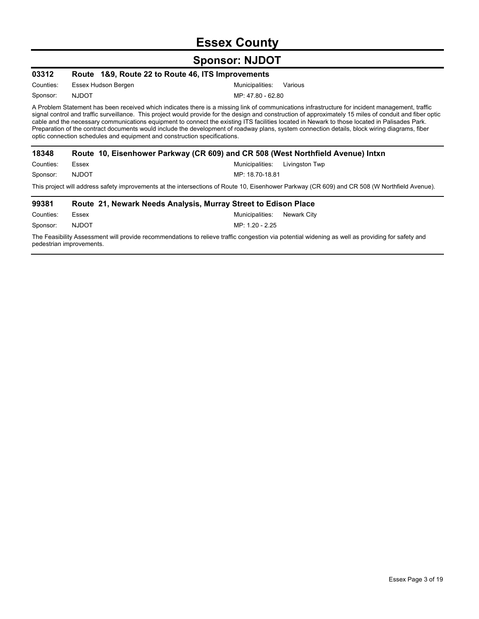## **Essex County**

## **Sponsor: NJDOT**

| 03312                                                                                                                                                                                                                                                                                                                                                                                                                                                                                                                                                                                                                                                                                      | Route 1&9, Route 22 to Route 46, ITS Improvements                               |                                   |  |  |
|--------------------------------------------------------------------------------------------------------------------------------------------------------------------------------------------------------------------------------------------------------------------------------------------------------------------------------------------------------------------------------------------------------------------------------------------------------------------------------------------------------------------------------------------------------------------------------------------------------------------------------------------------------------------------------------------|---------------------------------------------------------------------------------|-----------------------------------|--|--|
| Counties:                                                                                                                                                                                                                                                                                                                                                                                                                                                                                                                                                                                                                                                                                  | Essex Hudson Bergen                                                             | Municipalities:<br>Various        |  |  |
| Sponsor:                                                                                                                                                                                                                                                                                                                                                                                                                                                                                                                                                                                                                                                                                   | <b>NJDOT</b>                                                                    | MP: 47.80 - 62.80                 |  |  |
| A Problem Statement has been received which indicates there is a missing link of communications infrastructure for incident management, traffic<br>signal control and traffic surveillance. This project would provide for the design and construction of approximately 15 miles of conduit and fiber optic<br>cable and the necessary communications equipment to connect the existing ITS facilities located in Newark to those located in Palisades Park.<br>Preparation of the contract documents would include the development of roadway plans, system connection details, block wiring diagrams, fiber<br>optic connection schedules and equipment and construction specifications. |                                                                                 |                                   |  |  |
| 18348                                                                                                                                                                                                                                                                                                                                                                                                                                                                                                                                                                                                                                                                                      | Route 10, Eisenhower Parkway (CR 609) and CR 508 (West Northfield Avenue) Intxn |                                   |  |  |
| Counties:                                                                                                                                                                                                                                                                                                                                                                                                                                                                                                                                                                                                                                                                                  | Essex                                                                           | Municipalities:<br>Livingston Twp |  |  |
| Sponsor:                                                                                                                                                                                                                                                                                                                                                                                                                                                                                                                                                                                                                                                                                   | <b>NJDOT</b>                                                                    | MP: 18.70-18.81                   |  |  |
| This project will address safety improvements at the intersections of Route 10, Eisenhower Parkway (CR 609) and CR 508 (W Northfield Avenue).                                                                                                                                                                                                                                                                                                                                                                                                                                                                                                                                              |                                                                                 |                                   |  |  |
| 99381                                                                                                                                                                                                                                                                                                                                                                                                                                                                                                                                                                                                                                                                                      | Route 21, Newark Needs Analysis, Murray Street to Edison Place                  |                                   |  |  |
| Counties:                                                                                                                                                                                                                                                                                                                                                                                                                                                                                                                                                                                                                                                                                  | Essex                                                                           | Municipalities:<br>Newark City    |  |  |
| Sponsor:                                                                                                                                                                                                                                                                                                                                                                                                                                                                                                                                                                                                                                                                                   | <b>NJDOT</b>                                                                    | MP: 1.20 - 2.25                   |  |  |

The Feasibility Assessment will provide recommendations to relieve traffic congestion via potential widening as well as providing for safety and pedestrian improvements.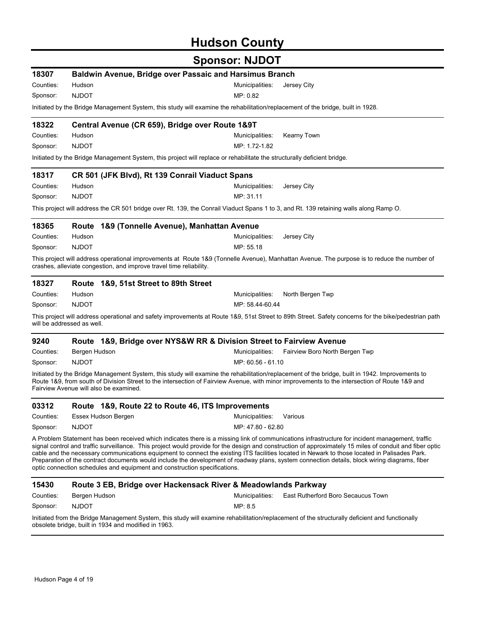# **Hudson County**

| 18307                      |                                                                                                                                 | Baldwin Avenue, Bridge over Passaic and Harsimus Branch                                                                                                                                                                                                                                          |                                                                                                                                                                                                                                                                                                                                                                                                                                                              |  |  |  |
|----------------------------|---------------------------------------------------------------------------------------------------------------------------------|--------------------------------------------------------------------------------------------------------------------------------------------------------------------------------------------------------------------------------------------------------------------------------------------------|--------------------------------------------------------------------------------------------------------------------------------------------------------------------------------------------------------------------------------------------------------------------------------------------------------------------------------------------------------------------------------------------------------------------------------------------------------------|--|--|--|
| Counties:                  | Hudson                                                                                                                          | Municipalities:                                                                                                                                                                                                                                                                                  | Jersey City                                                                                                                                                                                                                                                                                                                                                                                                                                                  |  |  |  |
| Sponsor:                   | <b>NJDOT</b>                                                                                                                    | MP: 0.82                                                                                                                                                                                                                                                                                         |                                                                                                                                                                                                                                                                                                                                                                                                                                                              |  |  |  |
|                            | Initiated by the Bridge Management System, this study will examine the rehabilitation/replacement of the bridge, built in 1928. |                                                                                                                                                                                                                                                                                                  |                                                                                                                                                                                                                                                                                                                                                                                                                                                              |  |  |  |
| 18322                      |                                                                                                                                 | Central Avenue (CR 659), Bridge over Route 1&9T                                                                                                                                                                                                                                                  |                                                                                                                                                                                                                                                                                                                                                                                                                                                              |  |  |  |
| Counties:                  | Hudson                                                                                                                          | Municipalities:                                                                                                                                                                                                                                                                                  | Kearny Town                                                                                                                                                                                                                                                                                                                                                                                                                                                  |  |  |  |
| Sponsor:                   | <b>NJDOT</b>                                                                                                                    | MP: 1.72-1.82                                                                                                                                                                                                                                                                                    |                                                                                                                                                                                                                                                                                                                                                                                                                                                              |  |  |  |
|                            |                                                                                                                                 | Initiated by the Bridge Management System, this project will replace or rehabilitate the structurally deficient bridge.                                                                                                                                                                          |                                                                                                                                                                                                                                                                                                                                                                                                                                                              |  |  |  |
| 18317                      |                                                                                                                                 | CR 501 (JFK Blvd), Rt 139 Conrail Viaduct Spans                                                                                                                                                                                                                                                  |                                                                                                                                                                                                                                                                                                                                                                                                                                                              |  |  |  |
| Counties:                  | Hudson                                                                                                                          | Municipalities:                                                                                                                                                                                                                                                                                  | Jersey City                                                                                                                                                                                                                                                                                                                                                                                                                                                  |  |  |  |
| Sponsor:                   | <b>NJDOT</b>                                                                                                                    | MP: 31.11                                                                                                                                                                                                                                                                                        |                                                                                                                                                                                                                                                                                                                                                                                                                                                              |  |  |  |
|                            |                                                                                                                                 | This project will address the CR 501 bridge over Rt. 139, the Conrail Viaduct Spans 1 to 3, and Rt. 139 retaining walls along Ramp O.                                                                                                                                                            |                                                                                                                                                                                                                                                                                                                                                                                                                                                              |  |  |  |
| 18365                      |                                                                                                                                 | Route 1&9 (Tonnelle Avenue), Manhattan Avenue                                                                                                                                                                                                                                                    |                                                                                                                                                                                                                                                                                                                                                                                                                                                              |  |  |  |
| Counties:                  | Hudson                                                                                                                          | Municipalities:                                                                                                                                                                                                                                                                                  | Jersey City                                                                                                                                                                                                                                                                                                                                                                                                                                                  |  |  |  |
| Sponsor:                   | <b>NJDOT</b>                                                                                                                    | MP: 55.18                                                                                                                                                                                                                                                                                        |                                                                                                                                                                                                                                                                                                                                                                                                                                                              |  |  |  |
|                            |                                                                                                                                 | crashes, alleviate congestion, and improve travel time reliability.                                                                                                                                                                                                                              | This project will address operational improvements at Route 1&9 (Tonnelle Avenue), Manhattan Avenue. The purpose is to reduce the number of                                                                                                                                                                                                                                                                                                                  |  |  |  |
| 18327                      | Route                                                                                                                           | 1&9, 51st Street to 89th Street                                                                                                                                                                                                                                                                  |                                                                                                                                                                                                                                                                                                                                                                                                                                                              |  |  |  |
| Counties:                  | Hudson                                                                                                                          | Municipalities:                                                                                                                                                                                                                                                                                  | North Bergen Twp                                                                                                                                                                                                                                                                                                                                                                                                                                             |  |  |  |
| Sponsor:                   | <b>NJDOT</b>                                                                                                                    | MP: 58.44-60.44                                                                                                                                                                                                                                                                                  |                                                                                                                                                                                                                                                                                                                                                                                                                                                              |  |  |  |
| will be addressed as well. |                                                                                                                                 |                                                                                                                                                                                                                                                                                                  | This project will address operational and safety improvements at Route 1&9, 51st Street to 89th Street. Safety concerns for the bike/pedestrian path                                                                                                                                                                                                                                                                                                         |  |  |  |
| 9240                       |                                                                                                                                 | Route 1&9, Bridge over NYS&W RR & Division Street to Fairview Avenue                                                                                                                                                                                                                             |                                                                                                                                                                                                                                                                                                                                                                                                                                                              |  |  |  |
| Counties:                  | Bergen Hudson                                                                                                                   | Municipalities:                                                                                                                                                                                                                                                                                  | Fairview Boro North Bergen Twp                                                                                                                                                                                                                                                                                                                                                                                                                               |  |  |  |
| Sponsor:                   | <b>NJDOT</b>                                                                                                                    | MP: 60.56 - 61.10                                                                                                                                                                                                                                                                                |                                                                                                                                                                                                                                                                                                                                                                                                                                                              |  |  |  |
|                            | Fairview Avenue will also be examined.                                                                                          | Initiated by the Bridge Management System, this study will examine the rehabilitation/replacement of the bridge, built in 1942. Improvements to<br>Route 1&9, from south of Division Street to the intersection of Fairview Avenue, with minor improvements to the intersection of Route 1&9 and |                                                                                                                                                                                                                                                                                                                                                                                                                                                              |  |  |  |
| 03312                      |                                                                                                                                 | Route 1&9, Route 22 to Route 46, ITS Improvements                                                                                                                                                                                                                                                |                                                                                                                                                                                                                                                                                                                                                                                                                                                              |  |  |  |
| Counties:                  | Essex Hudson Bergen                                                                                                             | Municipalities:                                                                                                                                                                                                                                                                                  | Various                                                                                                                                                                                                                                                                                                                                                                                                                                                      |  |  |  |
| Sponsor:                   | <b>NJDOT</b>                                                                                                                    | MP: 47.80 - 62.80                                                                                                                                                                                                                                                                                |                                                                                                                                                                                                                                                                                                                                                                                                                                                              |  |  |  |
|                            |                                                                                                                                 | cable and the necessary communications equipment to connect the existing ITS facilities located in Newark to those located in Palisades Park.<br>optic connection schedules and equipment and construction specifications.                                                                       | A Problem Statement has been received which indicates there is a missing link of communications infrastructure for incident management, traffic<br>signal control and traffic surveillance. This project would provide for the design and construction of approximately 15 miles of conduit and fiber optic<br>Preparation of the contract documents would include the development of roadway plans, system connection details, block wiring diagrams, fiber |  |  |  |
| 15430                      |                                                                                                                                 | Route 3 EB, Bridge over Hackensack River & Meadowlands Parkway                                                                                                                                                                                                                                   |                                                                                                                                                                                                                                                                                                                                                                                                                                                              |  |  |  |
| Counties:                  | Bergen Hudson                                                                                                                   | Municipalities:                                                                                                                                                                                                                                                                                  | East Rutherford Boro Secaucus Town                                                                                                                                                                                                                                                                                                                                                                                                                           |  |  |  |
| Sponsor:                   | <b>NJDOT</b>                                                                                                                    | MP: 8.5                                                                                                                                                                                                                                                                                          |                                                                                                                                                                                                                                                                                                                                                                                                                                                              |  |  |  |
|                            | obsolete bridge, built in 1934 and modified in 1963.                                                                            | Initiated from the Bridge Management System, this study will examine rehabilitation/replacement of the structurally deficient and functionally                                                                                                                                                   |                                                                                                                                                                                                                                                                                                                                                                                                                                                              |  |  |  |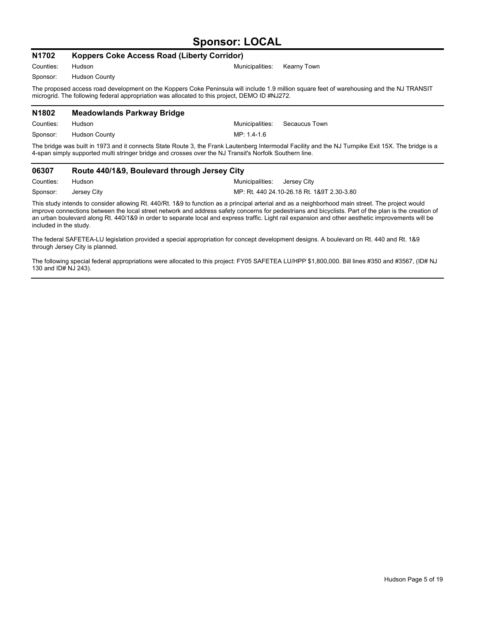### **Sponsor: LOCAL**

| N1702     | Koppers Coke Access Road (Liberty Corridor) |                                                                                                                                                                                                                                            |
|-----------|---------------------------------------------|--------------------------------------------------------------------------------------------------------------------------------------------------------------------------------------------------------------------------------------------|
| Counties: | Hudson                                      | Municipalities:<br>Kearny Town                                                                                                                                                                                                             |
| Sponsor:  | <b>Hudson County</b>                        |                                                                                                                                                                                                                                            |
|           |                                             | The proposed access road development on the Koppers Coke Peninsula will include 1.9 million square feet of warehousing and the NJ TRANSIT<br>microgrid. The following federal appropriation was allocated to this project, DEMO ID #NJ272. |
| N1802     | <b>Meadowlands Parkway Bridge</b>           |                                                                                                                                                                                                                                            |
| Counties: | Hudson                                      | Municipalities:<br>Secaucus Town                                                                                                                                                                                                           |
| Sponsor:  | <b>Hudson County</b>                        | MP: 1.4-1.6                                                                                                                                                                                                                                |
|           |                                             | The bridge was built in 1973 and it connects State Route 3, the Frank Lautenberg Intermodal Facility and the NJ Turnpike Exit 15X. The bridge is a                                                                                         |

4-span simply supported multi stringer bridge and crosses over the NJ Transit's Norfolk Southern line. **06307 Route 440/1&9, Boulevard through Jersey City**

| Counties: Hudson     | Municipalities: Jersey City                |
|----------------------|--------------------------------------------|
| Sponsor: Jersey City | MP: Rt. 440 24.10-26.18 Rt. 1&9T 2.30-3.80 |

This study intends to consider allowing Rt. 440/Rt. 1&9 to function as a principal arterial and as a neighborhood main street. The project would improve connections between the local street network and address safety concerns for pedestrians and bicyclists. Part of the plan is the creation of an urban boulevard along Rt. 440/1&9 in order to separate local and express traffic. Light rail expansion and other aesthetic improvements will be included in the study.

The federal SAFETEA-LU legislation provided a special appropriation for concept development designs. A boulevard on Rt. 440 and Rt. 1&9 through Jersey City is planned.

The following special federal appropriations were allocated to this project: FY05 SAFETEA LU/HPP \$1,800,000. Bill lines #350 and #3567, (ID# NJ 130 and ID# NJ 243).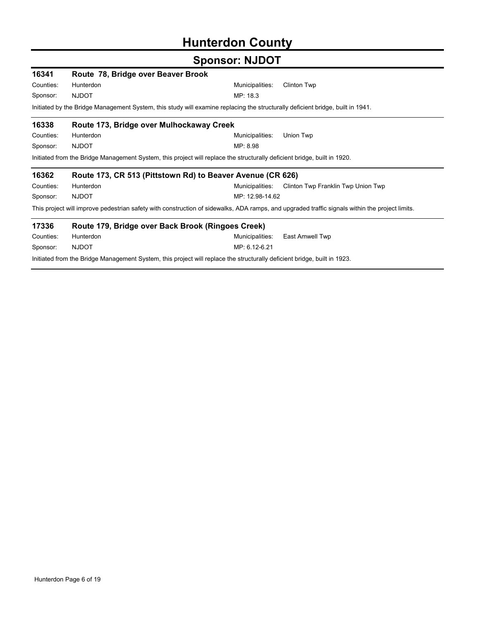# **Hunterdon County**

| 16341     | Route 78, Bridge over Beaver Brook       |                                                                                                                                                |
|-----------|------------------------------------------|------------------------------------------------------------------------------------------------------------------------------------------------|
| Counties: | Hunterdon                                | Municipalities:<br><b>Clinton Twp</b>                                                                                                          |
| Sponsor:  | <b>NJDOT</b>                             | MP: 18.3                                                                                                                                       |
|           |                                          | Initiated by the Bridge Management System, this study will examine replacing the structurally deficient bridge, built in 1941.                 |
| 16338     | Route 173, Bridge over Mulhockaway Creek |                                                                                                                                                |
| Counties: | Hunterdon                                | Municipalities:<br>Union Twp                                                                                                                   |
| Sponsor:  | <b>NJDOT</b>                             | MP: 8.98                                                                                                                                       |
|           |                                          | Initiated from the Bridge Management System, this project will replace the structurally deficient bridge, built in 1920.                       |
| 16362     |                                          | Route 173, CR 513 (Pittstown Rd) to Beaver Avenue (CR 626)                                                                                     |
| Counties: | Hunterdon                                | Municipalities:<br>Clinton Twp Franklin Twp Union Twp                                                                                          |
| Sponsor:  | <b>NJDOT</b>                             | MP: 12.98-14.62                                                                                                                                |
|           |                                          | This project will improve pedestrian safety with construction of sidewalks, ADA ramps, and upgraded traffic signals within the project limits. |
| 17336     |                                          | Route 179, Bridge over Back Brook (Ringoes Creek)                                                                                              |
| Counties: | Hunterdon                                | Municipalities:<br>East Amwell Twp                                                                                                             |
| Sponsor:  | <b>NJDOT</b>                             | MP: 6.12-6.21                                                                                                                                  |
|           |                                          | Initiated from the Bridge Management System, this project will replace the structurally deficient bridge, built in 1923.                       |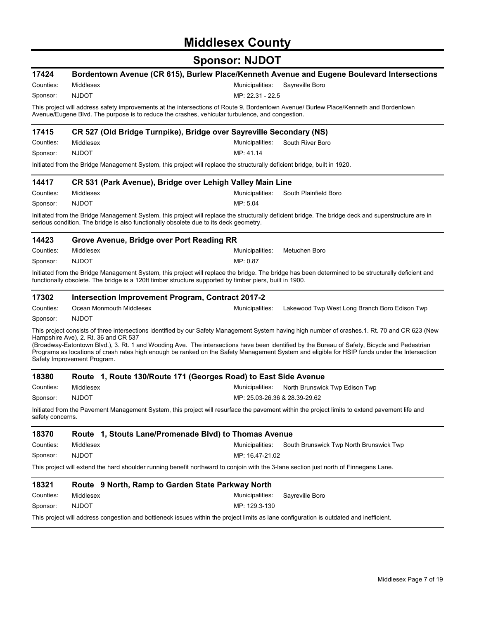# **Middlesex County**

|                  |                                                                                       | ו טשטו הוטטווט                                                                                                                                                                                                                                                                                                                                                                                                                                   |
|------------------|---------------------------------------------------------------------------------------|--------------------------------------------------------------------------------------------------------------------------------------------------------------------------------------------------------------------------------------------------------------------------------------------------------------------------------------------------------------------------------------------------------------------------------------------------|
| 17424            |                                                                                       | Bordentown Avenue (CR 615), Burlew Place/Kenneth Avenue and Eugene Boulevard Intersections                                                                                                                                                                                                                                                                                                                                                       |
| Counties:        | Middlesex                                                                             | Sayreville Boro<br>Municipalities:                                                                                                                                                                                                                                                                                                                                                                                                               |
| Sponsor:         | <b>NJDOT</b>                                                                          | MP: 22.31 - 22.5                                                                                                                                                                                                                                                                                                                                                                                                                                 |
|                  |                                                                                       | This project will address safety improvements at the intersections of Route 9, Bordentown Avenue/ Burlew Place/Kenneth and Bordentown<br>Avenue/Eugene Blvd. The purpose is to reduce the crashes, vehicular turbulence, and congestion.                                                                                                                                                                                                         |
| 17415            |                                                                                       | CR 527 (Old Bridge Turnpike), Bridge over Sayreville Secondary (NS)                                                                                                                                                                                                                                                                                                                                                                              |
| Counties:        | Middlesex                                                                             | Municipalities:<br>South River Boro                                                                                                                                                                                                                                                                                                                                                                                                              |
| Sponsor:         | <b>NJDOT</b>                                                                          | MP: 41.14                                                                                                                                                                                                                                                                                                                                                                                                                                        |
|                  |                                                                                       | Initiated from the Bridge Management System, this project will replace the structurally deficient bridge, built in 1920.                                                                                                                                                                                                                                                                                                                         |
| 14417            |                                                                                       | CR 531 (Park Avenue), Bridge over Lehigh Valley Main Line                                                                                                                                                                                                                                                                                                                                                                                        |
| Counties:        | Middlesex                                                                             | Municipalities:<br>South Plainfield Boro                                                                                                                                                                                                                                                                                                                                                                                                         |
| Sponsor:         | <b>NJDOT</b>                                                                          | MP: 5.04                                                                                                                                                                                                                                                                                                                                                                                                                                         |
|                  | serious condition. The bridge is also functionally obsolete due to its deck geometry. | Initiated from the Bridge Management System, this project will replace the structurally deficient bridge. The bridge deck and superstructure are in                                                                                                                                                                                                                                                                                              |
| 14423            | Grove Avenue, Bridge over Port Reading RR                                             |                                                                                                                                                                                                                                                                                                                                                                                                                                                  |
| Counties:        | Middlesex                                                                             | Metuchen Boro<br>Municipalities:                                                                                                                                                                                                                                                                                                                                                                                                                 |
| Sponsor:         | <b>NJDOT</b>                                                                          | MP: 0.87                                                                                                                                                                                                                                                                                                                                                                                                                                         |
|                  |                                                                                       | Initiated from the Bridge Management System, this project will replace the bridge. The bridge has been determined to be structurally deficient and<br>functionally obsolete. The bridge is a 120ft timber structure supported by timber piers, built in 1900.                                                                                                                                                                                    |
| 17302            | <b>Intersection Improvement Program, Contract 2017-2</b>                              |                                                                                                                                                                                                                                                                                                                                                                                                                                                  |
| Counties:        | Ocean Monmouth Middlesex                                                              | Municipalities:<br>Lakewood Twp West Long Branch Boro Edison Twp                                                                                                                                                                                                                                                                                                                                                                                 |
| Sponsor:         | <b>NJDOT</b>                                                                          |                                                                                                                                                                                                                                                                                                                                                                                                                                                  |
|                  | Hampshire Ave), 2. Rt. 36 and CR 537<br>Safety Improvement Program.                   | This project consists of three intersections identified by our Safety Management System having high number of crashes.1. Rt. 70 and CR 623 (New<br>(Broadway-Eatontown Blvd.), 3. Rt. 1 and Wooding Ave. The intersections have been identified by the Bureau of Safety, Bicycle and Pedestrian<br>Programs as locations of crash rates high enough be ranked on the Safety Management System and eligible for HSIP funds under the Intersection |
| 18380            |                                                                                       | Route 1, Route 130/Route 171 (Georges Road) to East Side Avenue                                                                                                                                                                                                                                                                                                                                                                                  |
| Counties:        | Middlesex                                                                             | Municipalities:<br>North Brunswick Twp Edison Twp                                                                                                                                                                                                                                                                                                                                                                                                |
| Sponsor:         | <b>NJDOT</b>                                                                          | MP: 25.03-26.36 & 28.39-29.62                                                                                                                                                                                                                                                                                                                                                                                                                    |
| safety concerns. |                                                                                       | Initiated from the Pavement Management System, this project will resurface the pavement within the project limits to extend pavement life and                                                                                                                                                                                                                                                                                                    |
| 18370            | Route                                                                                 | 1, Stouts Lane/Promenade Blvd) to Thomas Avenue                                                                                                                                                                                                                                                                                                                                                                                                  |
| Counties:        | Middlesex                                                                             | Municipalities:<br>South Brunswick Twp North Brunswick Twp                                                                                                                                                                                                                                                                                                                                                                                       |
| Sponsor:         | <b>NJDOT</b>                                                                          | MP: 16.47-21.02                                                                                                                                                                                                                                                                                                                                                                                                                                  |
|                  |                                                                                       | This project will extend the hard shoulder running benefit northward to conjoin with the 3-lane section just north of Finnegans Lane.                                                                                                                                                                                                                                                                                                            |
| 18321            | Route 9 North, Ramp to Garden State Parkway North                                     |                                                                                                                                                                                                                                                                                                                                                                                                                                                  |
| Counties:        | Middlesex                                                                             | Sayreville Boro<br>Municipalities:                                                                                                                                                                                                                                                                                                                                                                                                               |
| Sponsor:         | <b>NJDOT</b>                                                                          | MP: 129.3-130                                                                                                                                                                                                                                                                                                                                                                                                                                    |
|                  |                                                                                       | This project will address congestion and bottleneck issues within the project limits as lane configuration is outdated and inefficient.                                                                                                                                                                                                                                                                                                          |
|                  |                                                                                       |                                                                                                                                                                                                                                                                                                                                                                                                                                                  |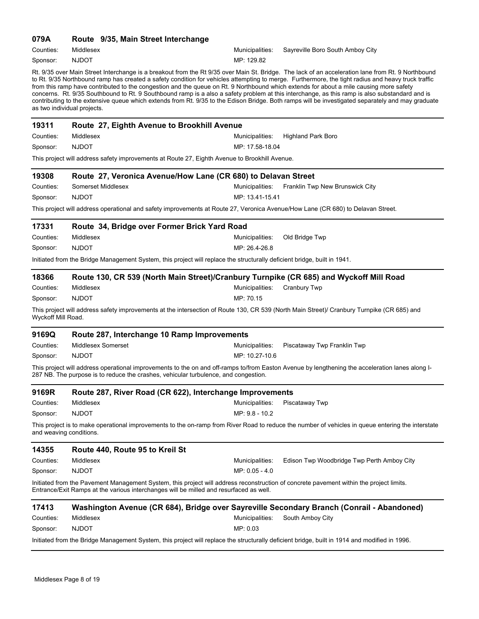#### **079A Route 9/35, Main Street Interchange**

MP: 129.82 Counties: Middlesex Municipalities: Sayreville Boro South Amboy City Sponsor: NJDOT

Rt. 9/35 over Main Street Interchange is a breakout from the Rt 9/35 over Main St. Bridge. The lack of an acceleration lane from Rt. 9 Northbound to Rt. 9/35 Northbound ramp has created a safety condition for vehicles attempting to merge. Furthermore, the tight radius and heavy truck traffic from this ramp have contributed to the congestion and the queue on Rt. 9 Northbound which extends for about a mile causing more safety concerns. Rt. 9/35 Southbound to Rt. 9 Southbound ramp is a also a safety problem at this interchange, as this ramp is also substandard and is contributing to the extensive queue which extends from Rt. 9/35 to the Edison Bridge. Both ramps will be investigated separately and may graduate as two individual projects.

| 19311                                                                                         | Route 27, Eighth Avenue to Brookhill Avenue                                                                                                                                                                                       |                 |                                                                                                                                                   |  |  |  |
|-----------------------------------------------------------------------------------------------|-----------------------------------------------------------------------------------------------------------------------------------------------------------------------------------------------------------------------------------|-----------------|---------------------------------------------------------------------------------------------------------------------------------------------------|--|--|--|
| Counties:                                                                                     | Middlesex                                                                                                                                                                                                                         | Municipalities: | <b>Highland Park Boro</b>                                                                                                                         |  |  |  |
| Sponsor:                                                                                      | <b>NJDOT</b>                                                                                                                                                                                                                      | MP: 17.58-18.04 |                                                                                                                                                   |  |  |  |
| This project will address safety improvements at Route 27, Eighth Avenue to Brookhill Avenue. |                                                                                                                                                                                                                                   |                 |                                                                                                                                                   |  |  |  |
| 19308                                                                                         | Route 27, Veronica Avenue/How Lane (CR 680) to Delavan Street                                                                                                                                                                     |                 |                                                                                                                                                   |  |  |  |
| Counties:                                                                                     | Somerset Middlesex                                                                                                                                                                                                                | Municipalities: | Franklin Twp New Brunswick City                                                                                                                   |  |  |  |
| Sponsor:                                                                                      | <b>NJDOT</b>                                                                                                                                                                                                                      | MP: 13.41-15.41 |                                                                                                                                                   |  |  |  |
|                                                                                               | This project will address operational and safety improvements at Route 27, Veronica Avenue/How Lane (CR 680) to Delavan Street.                                                                                                   |                 |                                                                                                                                                   |  |  |  |
| 17331                                                                                         | Route 34, Bridge over Former Brick Yard Road                                                                                                                                                                                      |                 |                                                                                                                                                   |  |  |  |
| Counties:                                                                                     | Middlesex                                                                                                                                                                                                                         | Municipalities: | Old Bridge Twp                                                                                                                                    |  |  |  |
| Sponsor:                                                                                      | <b>NJDOT</b>                                                                                                                                                                                                                      | MP: 26.4-26.8   |                                                                                                                                                   |  |  |  |
|                                                                                               | Initiated from the Bridge Management System, this project will replace the structurally deficient bridge, built in 1941.                                                                                                          |                 |                                                                                                                                                   |  |  |  |
| 18366                                                                                         | Route 130, CR 539 (North Main Street)/Cranbury Turnpike (CR 685) and Wyckoff Mill Road                                                                                                                                            |                 |                                                                                                                                                   |  |  |  |
| Counties:                                                                                     | Middlesex                                                                                                                                                                                                                         | Municipalities: | <b>Cranbury Twp</b>                                                                                                                               |  |  |  |
| Sponsor:                                                                                      | <b>NJDOT</b>                                                                                                                                                                                                                      | MP: 70.15       |                                                                                                                                                   |  |  |  |
| Wyckoff Mill Road.                                                                            | This project will address safety improvements at the intersection of Route 130, CR 539 (North Main Street)/ Cranbury Turnpike (CR 685) and                                                                                        |                 |                                                                                                                                                   |  |  |  |
| 9169Q                                                                                         | Route 287, Interchange 10 Ramp Improvements                                                                                                                                                                                       |                 |                                                                                                                                                   |  |  |  |
| Counties:                                                                                     | Middlesex Somerset                                                                                                                                                                                                                | Municipalities: | Piscataway Twp Franklin Twp                                                                                                                       |  |  |  |
| Sponsor:                                                                                      | <b>NJDOT</b>                                                                                                                                                                                                                      | MP: 10.27-10.6  |                                                                                                                                                   |  |  |  |
|                                                                                               | 287 NB. The purpose is to reduce the crashes, vehicular turbulence, and congestion.                                                                                                                                               |                 | This project will address operational improvements to the on and off-ramps to/from Easton Avenue by lengthening the acceleration lanes along I-   |  |  |  |
| 9169R                                                                                         | Route 287, River Road (CR 622), Interchange Improvements                                                                                                                                                                          |                 |                                                                                                                                                   |  |  |  |
| Counties:                                                                                     | Middlesex                                                                                                                                                                                                                         | Municipalities: | Piscataway Twp                                                                                                                                    |  |  |  |
| Sponsor:                                                                                      | <b>NJDOT</b>                                                                                                                                                                                                                      | MP: 9.8 - 10.2  |                                                                                                                                                   |  |  |  |
| and weaving conditions.                                                                       |                                                                                                                                                                                                                                   |                 | This project is to make operational improvements to the on-ramp from River Road to reduce the number of vehicles in queue entering the interstate |  |  |  |
| 14355                                                                                         | Route 440, Route 95 to Kreil St                                                                                                                                                                                                   |                 |                                                                                                                                                   |  |  |  |
| Counties:                                                                                     | Middlesex                                                                                                                                                                                                                         | Municipalities: | Edison Twp Woodbridge Twp Perth Amboy City                                                                                                        |  |  |  |
| Sponsor:                                                                                      | <b>NJDOT</b>                                                                                                                                                                                                                      | MP: 0.05 - 4.0  |                                                                                                                                                   |  |  |  |
|                                                                                               | Initiated from the Pavement Management System, this project will address reconstruction of concrete pavement within the project limits.<br>Entrance/Exit Ramps at the various interchanges will be milled and resurfaced as well. |                 |                                                                                                                                                   |  |  |  |
| 17413                                                                                         | Washington Avenue (CR 684), Bridge over Sayreville Secondary Branch (Conrail - Abandoned)                                                                                                                                         |                 |                                                                                                                                                   |  |  |  |
| Counties:                                                                                     | Middlesex                                                                                                                                                                                                                         | Municipalities: | South Amboy City                                                                                                                                  |  |  |  |
| Sponsor:                                                                                      | <b>NJDOT</b>                                                                                                                                                                                                                      | MP: 0.03        |                                                                                                                                                   |  |  |  |
|                                                                                               | Initiated from the Bridge Management System, this project will replace the structurally deficient bridge, built in 1914 and modified in 1996.                                                                                     |                 |                                                                                                                                                   |  |  |  |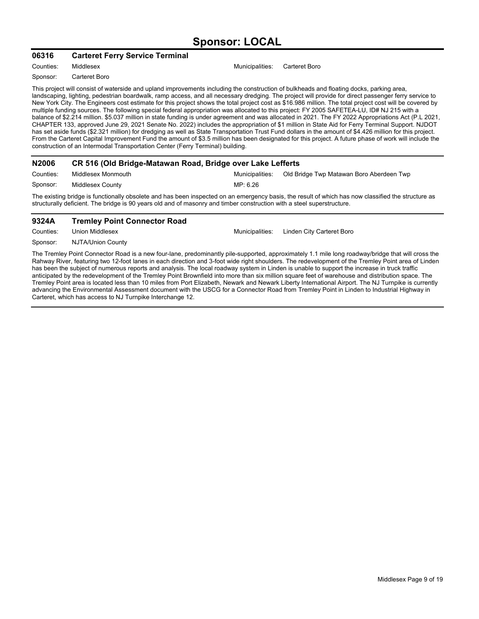### **Sponsor: LOCAL**

#### **06316 Carteret Ferry Service Terminal**

Counties: Middlesex Municipalities: Carteret Boro

Sponsor: Carteret Boro

This project will consist of waterside and upland improvements including the construction of bulkheads and floating docks, parking area, landscaping, lighting, pedestrian boardwalk, ramp access, and all necessary dredging. The project will provide for direct passenger ferry service to New York City. The Engineers cost estimate for this project shows the total project cost as \$16.986 million. The total project cost will be covered by multiple funding sources. The following special federal appropriation was allocated to this project: FY 2005 SAFETEA-LU, ID# NJ 215 with a balance of \$2.214 million. \$5.037 million in state funding is under agreement and was allocated in 2021. The FY 2022 Appropriations Act (P.L 2021, CHAPTER 133, approved June 29, 2021 Senate No. 2022) includes the appropriation of \$1 million in State Aid for Ferry Terminal Support. NJDOT has set aside funds (\$2.321 million) for dredging as well as State Transportation Trust Fund dollars in the amount of \$4.426 million for this project. From the Carteret Capital Improvement Fund the amount of \$3.5 million has been designated for this project. A future phase of work will include the construction of an Intermodal Transportation Center (Ferry Terminal) building.

| N2006                                                                                                                                                                                                                                                                        | CR 516 (Old Bridge-Matawan Road, Bridge over Lake Lefferts |                 |                                          |
|------------------------------------------------------------------------------------------------------------------------------------------------------------------------------------------------------------------------------------------------------------------------------|------------------------------------------------------------|-----------------|------------------------------------------|
| Counties:                                                                                                                                                                                                                                                                    | Middlesex Monmouth                                         | Municipalities: | Old Bridge Twp Matawan Boro Aberdeen Twp |
| Sponsor:                                                                                                                                                                                                                                                                     | Middlesex County                                           | MP: 6.26        |                                          |
| The existing bridge is functionally obsolete and has been inspected on an emergency basis, the result of which has now classified the structure as<br>structurally deficient. The bridge is 90 years old and of masonry and timber construction with a steel superstructure. |                                                            |                 |                                          |

#### **9324A Tremley Point Connector Road**

Counties: Union Middlesex **Municipalities: Linden City Carteret Boro** Sponsor: NJTA/Union County

The Tremley Point Connector Road is a new four-lane, predominantly pile-supported, approximately 1.1 mile long roadway/bridge that will cross the Rahway River, featuring two 12-foot lanes in each direction and 3-foot wide right shoulders. The redevelopment of the Tremley Point area of Linden has been the subject of numerous reports and analysis. The local roadway system in Linden is unable to support the increase in truck traffic anticipated by the redevelopment of the Tremley Point Brownfield into more than six million square feet of warehouse and distribution space. The Tremley Point area is located less than 10 miles from Port Elizabeth, Newark and Newark Liberty International Airport. The NJ Turnpike is currently advancing the Environmental Assessment document with the USCG for a Connector Road from Tremley Point in Linden to Industrial Highway in Carteret, which has access to NJ Turnpike Interchange 12.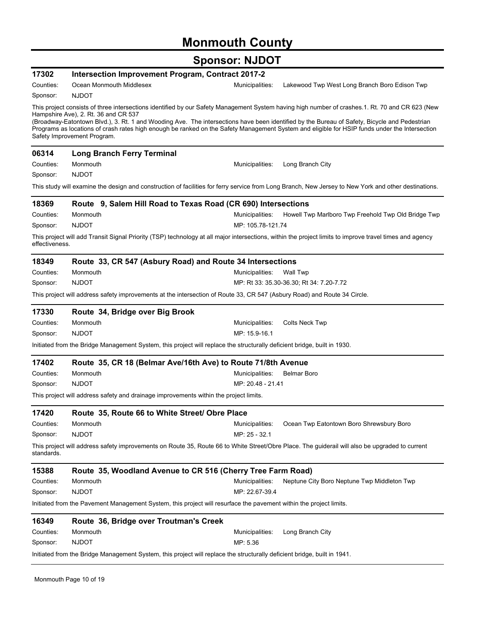# **Monmouth County**

| 17302          | <b>Intersection Improvement Program, Contract 2017-2</b>                                                                                                                                                                                                                                                                                                                                                                                                                                                                |                   |                                                     |
|----------------|-------------------------------------------------------------------------------------------------------------------------------------------------------------------------------------------------------------------------------------------------------------------------------------------------------------------------------------------------------------------------------------------------------------------------------------------------------------------------------------------------------------------------|-------------------|-----------------------------------------------------|
| Counties:      | Ocean Monmouth Middlesex                                                                                                                                                                                                                                                                                                                                                                                                                                                                                                | Municipalities:   | Lakewood Twp West Long Branch Boro Edison Twp       |
| Sponsor:       | <b>NJDOT</b>                                                                                                                                                                                                                                                                                                                                                                                                                                                                                                            |                   |                                                     |
|                | This project consists of three intersections identified by our Safety Management System having high number of crashes.1. Rt. 70 and CR 623 (New<br>Hampshire Ave), 2. Rt. 36 and CR 537<br>(Broadway-Eatontown Blvd.), 3. Rt. 1 and Wooding Ave. The intersections have been identified by the Bureau of Safety, Bicycle and Pedestrian<br>Programs as locations of crash rates high enough be ranked on the Safety Management System and eligible for HSIP funds under the Intersection<br>Safety Improvement Program. |                   |                                                     |
| 06314          | <b>Long Branch Ferry Terminal</b>                                                                                                                                                                                                                                                                                                                                                                                                                                                                                       |                   |                                                     |
| Counties:      | Monmouth                                                                                                                                                                                                                                                                                                                                                                                                                                                                                                                | Municipalities:   | Long Branch City                                    |
| Sponsor:       | <b>NJDOT</b>                                                                                                                                                                                                                                                                                                                                                                                                                                                                                                            |                   |                                                     |
|                | This study will examine the design and construction of facilities for ferry service from Long Branch, New Jersey to New York and other destinations.                                                                                                                                                                                                                                                                                                                                                                    |                   |                                                     |
| 18369          | Route 9, Salem Hill Road to Texas Road (CR 690) Intersections                                                                                                                                                                                                                                                                                                                                                                                                                                                           |                   |                                                     |
| Counties:      | Monmouth                                                                                                                                                                                                                                                                                                                                                                                                                                                                                                                | Municipalities:   | Howell Twp Marlboro Twp Freehold Twp Old Bridge Twp |
| Sponsor:       | <b>NJDOT</b>                                                                                                                                                                                                                                                                                                                                                                                                                                                                                                            | MP: 105.78-121.74 |                                                     |
| effectiveness. | This project will add Transit Signal Priority (TSP) technology at all major intersections, within the project limits to improve travel times and agency                                                                                                                                                                                                                                                                                                                                                                 |                   |                                                     |
| 18349          | Route 33, CR 547 (Asbury Road) and Route 34 Intersections                                                                                                                                                                                                                                                                                                                                                                                                                                                               |                   |                                                     |
| Counties:      | Monmouth                                                                                                                                                                                                                                                                                                                                                                                                                                                                                                                | Municipalities:   | Wall Twp                                            |
| Sponsor:       | <b>NJDOT</b>                                                                                                                                                                                                                                                                                                                                                                                                                                                                                                            |                   | MP: Rt 33: 35.30-36.30; Rt 34: 7.20-7.72            |
|                | This project will address safety improvements at the intersection of Route 33, CR 547 (Asbury Road) and Route 34 Circle.                                                                                                                                                                                                                                                                                                                                                                                                |                   |                                                     |
| 17330          | Route 34, Bridge over Big Brook                                                                                                                                                                                                                                                                                                                                                                                                                                                                                         |                   |                                                     |
| Counties:      | Monmouth                                                                                                                                                                                                                                                                                                                                                                                                                                                                                                                | Municipalities:   | Colts Neck Twp                                      |
| Sponsor:       | <b>NJDOT</b>                                                                                                                                                                                                                                                                                                                                                                                                                                                                                                            | MP: 15.9-16.1     |                                                     |
|                | Initiated from the Bridge Management System, this project will replace the structurally deficient bridge, built in 1930.                                                                                                                                                                                                                                                                                                                                                                                                |                   |                                                     |
| 17402          | Route 35, CR 18 (Belmar Ave/16th Ave) to Route 71/8th Avenue                                                                                                                                                                                                                                                                                                                                                                                                                                                            |                   |                                                     |
| Counties:      | Monmouth                                                                                                                                                                                                                                                                                                                                                                                                                                                                                                                | Municipalities:   | <b>Belmar Boro</b>                                  |
| Sponsor:       | <b>NJDOT</b>                                                                                                                                                                                                                                                                                                                                                                                                                                                                                                            | MP: 20.48 - 21.41 |                                                     |
|                | This project will address safety and drainage improvements within the project limits.                                                                                                                                                                                                                                                                                                                                                                                                                                   |                   |                                                     |
| 17420          | Route 35, Route 66 to White Street/ Obre Place                                                                                                                                                                                                                                                                                                                                                                                                                                                                          |                   |                                                     |
| Counties:      | Monmouth                                                                                                                                                                                                                                                                                                                                                                                                                                                                                                                | Municipalities:   | Ocean Twp Eatontown Boro Shrewsbury Boro            |
| Sponsor:       | <b>NJDOT</b>                                                                                                                                                                                                                                                                                                                                                                                                                                                                                                            | MP: 25 - 32.1     |                                                     |
| standards.     | This project will address safety improvements on Route 35, Route 66 to White Street/Obre Place. The guiderail will also be upgraded to current                                                                                                                                                                                                                                                                                                                                                                          |                   |                                                     |
| 15388          | Route 35, Woodland Avenue to CR 516 (Cherry Tree Farm Road)                                                                                                                                                                                                                                                                                                                                                                                                                                                             |                   |                                                     |
| Counties:      | Monmouth                                                                                                                                                                                                                                                                                                                                                                                                                                                                                                                | Municipalities:   | Neptune City Boro Neptune Twp Middleton Twp         |
| Sponsor:       | <b>NJDOT</b>                                                                                                                                                                                                                                                                                                                                                                                                                                                                                                            | MP: 22.67-39.4    |                                                     |
|                | Initiated from the Pavement Management System, this project will resurface the pavement within the project limits.                                                                                                                                                                                                                                                                                                                                                                                                      |                   |                                                     |
| 16349          | Route 36, Bridge over Troutman's Creek                                                                                                                                                                                                                                                                                                                                                                                                                                                                                  |                   |                                                     |
| Counties:      | Monmouth                                                                                                                                                                                                                                                                                                                                                                                                                                                                                                                | Municipalities:   | Long Branch City                                    |
| Sponsor:       | <b>NJDOT</b>                                                                                                                                                                                                                                                                                                                                                                                                                                                                                                            | MP: 5.36          |                                                     |
|                | Initiated from the Bridge Management System, this project will replace the structurally deficient bridge, built in 1941.                                                                                                                                                                                                                                                                                                                                                                                                |                   |                                                     |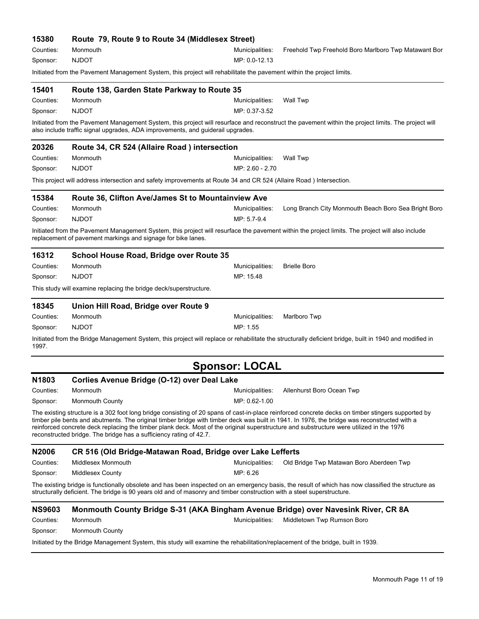| 15380             | Route 79, Route 9 to Route 34 (Middlesex Street)                                                                                                                                                                                                                                                                                                               |                       |                                                                                                                                                         |
|-------------------|----------------------------------------------------------------------------------------------------------------------------------------------------------------------------------------------------------------------------------------------------------------------------------------------------------------------------------------------------------------|-----------------------|---------------------------------------------------------------------------------------------------------------------------------------------------------|
| Counties:         | Monmouth                                                                                                                                                                                                                                                                                                                                                       | Municipalities:       | Freehold Twp Freehold Boro Marlboro Twp Matawant Bor                                                                                                    |
| Sponsor:          | <b>NJDOT</b>                                                                                                                                                                                                                                                                                                                                                   | MP: 0.0-12.13         |                                                                                                                                                         |
|                   | Initiated from the Pavement Management System, this project will rehabilitate the pavement within the project limits.                                                                                                                                                                                                                                          |                       |                                                                                                                                                         |
| 15401             | Route 138, Garden State Parkway to Route 35                                                                                                                                                                                                                                                                                                                    |                       |                                                                                                                                                         |
| Counties:         | Monmouth                                                                                                                                                                                                                                                                                                                                                       | Municipalities:       | Wall Twp                                                                                                                                                |
| Sponsor:          | <b>NJDOT</b>                                                                                                                                                                                                                                                                                                                                                   | MP: 0.37-3.52         |                                                                                                                                                         |
|                   | also include traffic signal upgrades, ADA improvements, and guiderail upgrades.                                                                                                                                                                                                                                                                                |                       | Initiated from the Pavement Management System, this project will resurface and reconstruct the pavement within the project limits. The project will     |
| 20326             | Route 34, CR 524 (Allaire Road) intersection                                                                                                                                                                                                                                                                                                                   |                       |                                                                                                                                                         |
| Counties:         | Monmouth                                                                                                                                                                                                                                                                                                                                                       | Municipalities:       | <b>Wall Twp</b>                                                                                                                                         |
| Sponsor:          | <b>NJDOT</b>                                                                                                                                                                                                                                                                                                                                                   | MP: 2.60 - 2.70       |                                                                                                                                                         |
|                   | This project will address intersection and safety improvements at Route 34 and CR 524 (Allaire Road) Intersection.                                                                                                                                                                                                                                             |                       |                                                                                                                                                         |
| 15384             | Route 36, Clifton Ave/James St to Mountainview Ave                                                                                                                                                                                                                                                                                                             |                       |                                                                                                                                                         |
| Counties:         | Monmouth                                                                                                                                                                                                                                                                                                                                                       | Municipalities:       | Long Branch City Monmouth Beach Boro Sea Bright Boro                                                                                                    |
| Sponsor:          | <b>NJDOT</b>                                                                                                                                                                                                                                                                                                                                                   | MP: 5.7-9.4           |                                                                                                                                                         |
|                   | replacement of pavement markings and signage for bike lanes.                                                                                                                                                                                                                                                                                                   |                       | Initiated from the Pavement Management System, this project will resurface the pavement within the project limits. The project will also include        |
| 16312             | School House Road, Bridge over Route 35                                                                                                                                                                                                                                                                                                                        |                       |                                                                                                                                                         |
| Counties:         | Monmouth                                                                                                                                                                                                                                                                                                                                                       | Municipalities:       | <b>Brielle Boro</b>                                                                                                                                     |
| Sponsor:          | <b>NJDOT</b>                                                                                                                                                                                                                                                                                                                                                   | MP: 15.48             |                                                                                                                                                         |
|                   | This study will examine replacing the bridge deck/superstructure.                                                                                                                                                                                                                                                                                              |                       |                                                                                                                                                         |
| 18345             | Union Hill Road, Bridge over Route 9                                                                                                                                                                                                                                                                                                                           |                       |                                                                                                                                                         |
| Counties:         | Monmouth                                                                                                                                                                                                                                                                                                                                                       | Municipalities:       | Marlboro Twp                                                                                                                                            |
| Sponsor:          | <b>NJDOT</b>                                                                                                                                                                                                                                                                                                                                                   | MP: 1.55              |                                                                                                                                                         |
| 1997.             |                                                                                                                                                                                                                                                                                                                                                                |                       | Initiated from the Bridge Management System, this project will replace or rehabilitate the structurally deficient bridge, built in 1940 and modified in |
|                   |                                                                                                                                                                                                                                                                                                                                                                | <b>Sponsor: LOCAL</b> |                                                                                                                                                         |
| N <sub>1803</sub> | Corlies Avenue Bridge (O-12) over Deal Lake                                                                                                                                                                                                                                                                                                                    |                       |                                                                                                                                                         |
| Counties:         | Monmouth                                                                                                                                                                                                                                                                                                                                                       | Municipalities:       | Allenhurst Boro Ocean Twp                                                                                                                               |
| Sponsor:          | <b>Monmouth County</b>                                                                                                                                                                                                                                                                                                                                         | MP: 0.62-1.00         |                                                                                                                                                         |
|                   | timber pile bents and abutments. The original timber bridge with timber deck was built in 1941. In 1976, the bridge was reconstructed with a<br>reinforced concrete deck replacing the timber plank deck. Most of the original superstructure and substructure were utilized in the 1976<br>reconstructed bridge. The bridge has a sufficiency rating of 42.7. |                       | The existing structure is a 302 foot long bridge consisting of 20 spans of cast-in-place reinforced concrete decks on timber stingers supported by      |
| N2006             | CR 516 (Old Bridge-Matawan Road, Bridge over Lake Lefferts                                                                                                                                                                                                                                                                                                     |                       |                                                                                                                                                         |
| Counties:         | Middlesex Monmouth                                                                                                                                                                                                                                                                                                                                             | Municipalities:       | Old Bridge Twp Matawan Boro Aberdeen Twp                                                                                                                |
| Sponsor:          | Middlesex County                                                                                                                                                                                                                                                                                                                                               | MP: 6.26              |                                                                                                                                                         |
|                   | structurally deficient. The bridge is 90 years old and of masonry and timber construction with a steel superstructure.                                                                                                                                                                                                                                         |                       | The existing bridge is functionally obsolete and has been inspected on an emergency basis, the result of which has now classified the structure as      |
| <b>NS9603</b>     | Monmouth County Bridge S-31 (AKA Bingham Avenue Bridge) over Navesink River, CR 8A                                                                                                                                                                                                                                                                             |                       |                                                                                                                                                         |
| Counties:         | Monmouth                                                                                                                                                                                                                                                                                                                                                       | Municipalities:       | Middletown Twp Rumson Boro                                                                                                                              |
| Sponsor:          | <b>Monmouth County</b>                                                                                                                                                                                                                                                                                                                                         |                       |                                                                                                                                                         |
|                   | Initiated by the Bridge Management System, this study will examine the rehabilitation/replacement of the bridge, built in 1939.                                                                                                                                                                                                                                |                       |                                                                                                                                                         |
|                   |                                                                                                                                                                                                                                                                                                                                                                |                       |                                                                                                                                                         |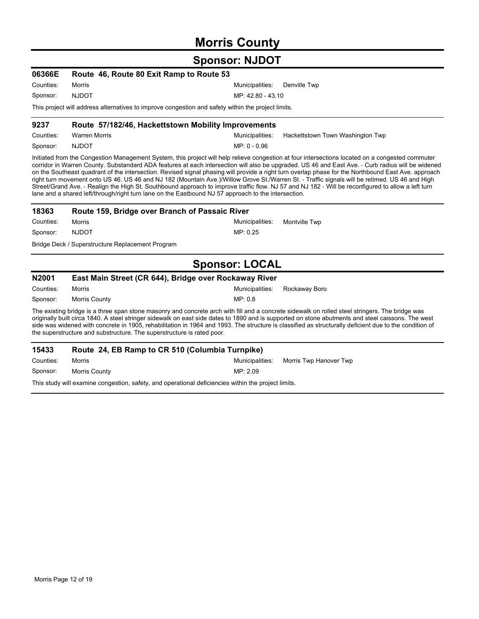### **Morris County**

### **Sponsor: NJDOT**

| 06366E                                                                                             | Route 46, Route 80 Exit Ramp to Route 53 |                              |  |
|----------------------------------------------------------------------------------------------------|------------------------------------------|------------------------------|--|
| Counties:                                                                                          | Morris                                   | Municipalities: Denville Twp |  |
| Sponsor:                                                                                           | NJDOT.                                   | MP: 42.80 - 43.10            |  |
| This project will address alternatives to improve congestion and safety within the project limits. |                                          |                              |  |

#### Counties: Warren Morris **Municipalities: Hackettstown Town Washington Twp** Municipalities: Hackettstown Town Washington Twp **9237 Route 57/182/46, Hackettstown Mobility Improvements**

MP: 0 - 0.96 Sponsor: NJDOT

Initiated from the Congestion Management System, this project will help relieve congestion at four intersections located on a congested commuter corridor in Warren County. Substandard ADA features at each intersection will also be upgraded. US 46 and East Ave. - Curb radius will be widened on the Southeast quadrant of the intersection. Revised signal phasing will provide a right turn overlap phase for the Northbound East Ave. approach right turn movement onto US 46. US 46 and NJ 182 (Mountain Ave.)/Willow Grove St./Warren St. - Traffic signals will be retimed. US 46 and High Street/Grand Ave. - Realign the High St. Southbound approach to improve traffic flow. NJ 57 and NJ 182 - Will be reconfigured to allow a left turn lane and a shared left/through/right turn lane on the Eastbound NJ 57 approach to the intersection.

| 18363     | Route 159, Bridge over Branch of Passaic River   |                               |  |
|-----------|--------------------------------------------------|-------------------------------|--|
| Counties: | Morris                                           | Municipalities: Montville Twp |  |
| Sponsor:  | <b>NJDOT</b>                                     | MP: 0.25                      |  |
|           | Bridge Deck / Superstructure Replacement Program |                               |  |

### **Sponsor: LOCAL**

| <b>N2001</b> | East Main Street (CR 644), Bridge over Rockaway River                                                                 |                 |               |
|--------------|-----------------------------------------------------------------------------------------------------------------------|-----------------|---------------|
| Counties:    | Morris                                                                                                                | Municipalities: | Rockaway Boro |
| Sponsor:     | Morris County                                                                                                         | MP 08           |               |
|              | The evicting bridge is a three snap stone masonry and concrete arch with fill and a concrete sidewalk on rolled steel |                 |               |

a three span stone masonry and concrete arch with fill and a concrete sidewalk on rolled steel stringers. The bridge was<br>. originally built circa 1840. A steel stringer sidewalk on east side dates to 1890 and is supported on stone abutments and steel caissons. The west side was widened with concrete in 1905, rehabilitation in 1964 and 1993. The structure is classified as structurally deficient due to the condition of the superstructure and substructure. The superstructure is rated poor.

| 15433     | Route 24, EB Ramp to CR 510 (Columbia Turnpike)                                                     |          |                                        |
|-----------|-----------------------------------------------------------------------------------------------------|----------|----------------------------------------|
| Counties: | Morris                                                                                              |          | Municipalities: Morris Twp Hanover Twp |
| Sponsor:  | Morris Countv                                                                                       | MP: 2.09 |                                        |
|           | This study will examine congestion, safety, and operational deficiencies within the project limits. |          |                                        |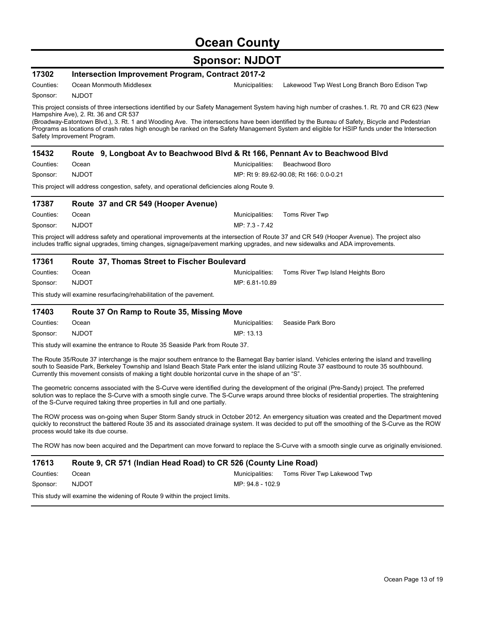# **Ocean County**

| 17302     | <b>Intersection Improvement Program, Contract 2017-2</b>                                           |                                                                                                                                                                                                                                                                                                                                                                                                                                                  |
|-----------|----------------------------------------------------------------------------------------------------|--------------------------------------------------------------------------------------------------------------------------------------------------------------------------------------------------------------------------------------------------------------------------------------------------------------------------------------------------------------------------------------------------------------------------------------------------|
| Counties: | Ocean Monmouth Middlesex                                                                           | Municipalities:<br>Lakewood Twp West Long Branch Boro Edison Twp                                                                                                                                                                                                                                                                                                                                                                                 |
| Sponsor:  | <b>NJDOT</b>                                                                                       |                                                                                                                                                                                                                                                                                                                                                                                                                                                  |
|           | Hampshire Ave), 2. Rt. 36 and CR 537<br>Safety Improvement Program.                                | This project consists of three intersections identified by our Safety Management System having high number of crashes.1. Rt. 70 and CR 623 (New<br>(Broadway-Eatontown Blvd.), 3. Rt. 1 and Wooding Ave. The intersections have been identified by the Bureau of Safety, Bicycle and Pedestrian<br>Programs as locations of crash rates high enough be ranked on the Safety Management System and eligible for HSIP funds under the Intersection |
| 15432     |                                                                                                    | Route 9, Longboat Av to Beachwood Blvd & Rt 166, Pennant Av to Beachwood Blvd                                                                                                                                                                                                                                                                                                                                                                    |
| Counties: | Ocean                                                                                              | Beachwood Boro<br>Municipalities:                                                                                                                                                                                                                                                                                                                                                                                                                |
| Sponsor:  | <b>NJDOT</b>                                                                                       | MP: Rt 9: 89.62-90.08, Rt 166: 0.0-0.21                                                                                                                                                                                                                                                                                                                                                                                                          |
|           | This project will address congestion, safety, and operational deficiencies along Route 9.          |                                                                                                                                                                                                                                                                                                                                                                                                                                                  |
| 17387     | Route 37 and CR 549 (Hooper Avenue)                                                                |                                                                                                                                                                                                                                                                                                                                                                                                                                                  |
| Counties: | Ocean                                                                                              | Municipalities:<br>Toms River Twp                                                                                                                                                                                                                                                                                                                                                                                                                |
| Sponsor:  | <b>NJDOT</b>                                                                                       | MP: 7.3 - 7.42                                                                                                                                                                                                                                                                                                                                                                                                                                   |
|           |                                                                                                    | This project will address safety and operational improvements at the intersection of Route 37 and CR 549 (Hooper Avenue). The project also<br>includes traffic signal upgrades, timing changes, signage/pavement marking upgrades, and new sidewalks and ADA improvements.                                                                                                                                                                       |
| 17361     | Route 37, Thomas Street to Fischer Boulevard                                                       |                                                                                                                                                                                                                                                                                                                                                                                                                                                  |
| Counties: | Ocean                                                                                              | Municipalities:<br>Toms River Twp Island Heights Boro                                                                                                                                                                                                                                                                                                                                                                                            |
| Sponsor:  | <b>NJDOT</b>                                                                                       | MP: 6.81-10.89                                                                                                                                                                                                                                                                                                                                                                                                                                   |
|           | This study will examine resurfacing/rehabilitation of the pavement.                                |                                                                                                                                                                                                                                                                                                                                                                                                                                                  |
| 17403     | Route 37 On Ramp to Route 35, Missing Move                                                         |                                                                                                                                                                                                                                                                                                                                                                                                                                                  |
| Counties: | Ocean                                                                                              | Seaside Park Boro<br>Municipalities:                                                                                                                                                                                                                                                                                                                                                                                                             |
| Sponsor:  | <b>NJDOT</b>                                                                                       | MP: 13.13                                                                                                                                                                                                                                                                                                                                                                                                                                        |
|           | This study will examine the entrance to Route 35 Seaside Park from Route 37.                       |                                                                                                                                                                                                                                                                                                                                                                                                                                                  |
|           | Currently this movement consists of making a tight double horizontal curve in the shape of an "S". | The Route 35/Route 37 interchange is the major southern entrance to the Barnegat Bay barrier island. Vehicles entering the island and travelling<br>south to Seaside Park, Berkeley Township and Island Beach State Park enter the island utilizing Route 37 eastbound to route 35 southbound.                                                                                                                                                   |
|           | of the S-Curve required taking three properties in full and one partially.                         | The geometric concerns associated with the S-Curve were identified during the development of the original (Pre-Sandy) project. The preferred<br>solution was to replace the S-Curve with a smooth single curve. The S-Curve wraps around three blocks of residential properties. The straightening                                                                                                                                               |
|           |                                                                                                    | The ROW process was on-going when Super Storm Sandy struck in October 2012. An emergency situation was created and the Department moved                                                                                                                                                                                                                                                                                                          |
|           | process would take its due course.                                                                 | quickly to reconstruct the battered Route 35 and its associated drainage system. It was decided to put off the smoothing of the S-Curve as the ROW                                                                                                                                                                                                                                                                                               |
|           |                                                                                                    | The ROW has now been acquired and the Department can move forward to replace the S-Curve with a smooth single curve as originally envisioned.                                                                                                                                                                                                                                                                                                    |
| 17613     |                                                                                                    | Route 9, CR 571 (Indian Head Road) to CR 526 (County Line Road)                                                                                                                                                                                                                                                                                                                                                                                  |
| Counties: | Ocean                                                                                              | Municipalities:<br>Toms River Twp Lakewood Twp                                                                                                                                                                                                                                                                                                                                                                                                   |
| Sponsor:  | <b>NJDOT</b>                                                                                       | MP: 94.8 - 102.9                                                                                                                                                                                                                                                                                                                                                                                                                                 |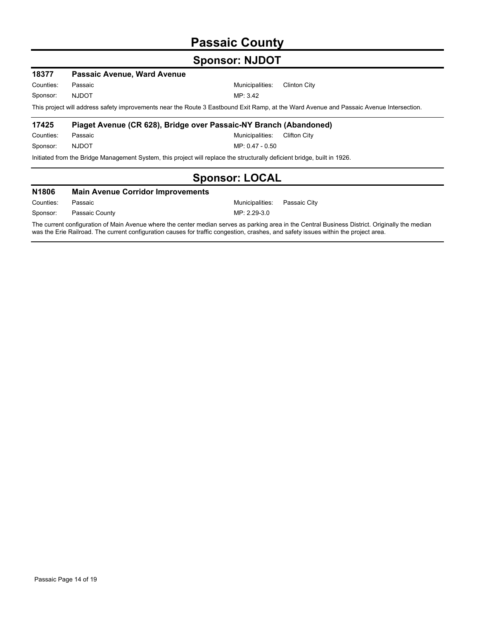## **Passaic County**

### **Sponsor: NJDOT**

| 18377        | <b>Passaic Avenue, Ward Avenue</b> |                                                                                                                                         |
|--------------|------------------------------------|-----------------------------------------------------------------------------------------------------------------------------------------|
| Counties:    | Passaic                            | Municipalities:<br>Clinton City                                                                                                         |
| Sponsor:     | <b>NJDOT</b>                       | MP: 3.42                                                                                                                                |
|              |                                    | This project will address safety improvements near the Route 3 Eastbound Exit Ramp, at the Ward Avenue and Passaic Avenue Intersection. |
| 17425        |                                    | Piaget Avenue (CR 628), Bridge over Passaic-NY Branch (Abandoned)                                                                       |
| Counties:    | Passaic                            | Municipalities:<br>Clifton City                                                                                                         |
| Sponsor:     | <b>NJDOT</b>                       | $MP: 0.47 - 0.50$                                                                                                                       |
|              |                                    | Initiated from the Bridge Management System, this project will replace the structurally deficient bridge, built in 1926.                |
|              |                                    | <b>Sponsor: LOCAL</b>                                                                                                                   |
| <b>N1806</b> | Main Avenue Corridor Improvements  |                                                                                                                                         |

| <b>IN LOUD</b> | <b>Mail Avenue Cornuol Improvements</b> |                              |  |
|----------------|-----------------------------------------|------------------------------|--|
| Counties:      | Passaic                                 | Municipalities: Passaic City |  |
| Sponsor:       | Passaic County                          | MP: 2.29-3.0                 |  |

The current configuration of Main Avenue where the center median serves as parking area in the Central Business District. Originally the median was the Erie Railroad. The current configuration causes for traffic congestion, crashes, and safety issues within the project area.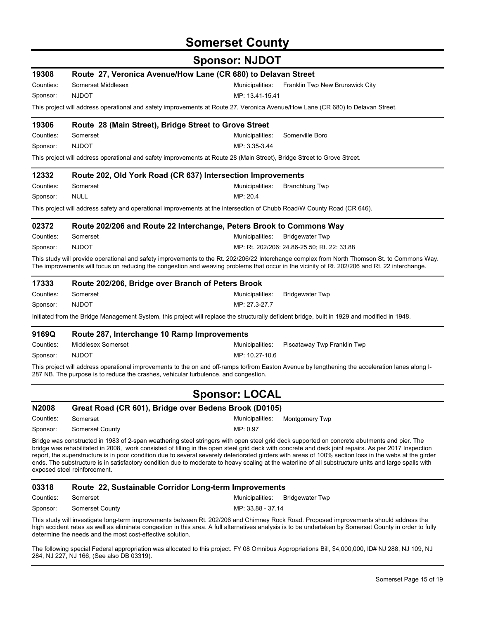### **Somerset County**

### **Sponsor: NJDOT**

| 19308        |                                                                                     | Route 27, Veronica Avenue/How Lane (CR 680) to Delavan Street                                                                                                                                                                                                                                       |
|--------------|-------------------------------------------------------------------------------------|-----------------------------------------------------------------------------------------------------------------------------------------------------------------------------------------------------------------------------------------------------------------------------------------------------|
| Counties:    | Somerset Middlesex                                                                  | Municipalities:<br>Franklin Twp New Brunswick City                                                                                                                                                                                                                                                  |
| Sponsor:     | <b>NJDOT</b>                                                                        | MP: 13.41-15.41                                                                                                                                                                                                                                                                                     |
|              |                                                                                     | This project will address operational and safety improvements at Route 27, Veronica Avenue/How Lane (CR 680) to Delavan Street.                                                                                                                                                                     |
| 19306        | Route 28 (Main Street), Bridge Street to Grove Street                               |                                                                                                                                                                                                                                                                                                     |
| Counties:    | Somerset                                                                            | Municipalities:<br>Somerville Boro                                                                                                                                                                                                                                                                  |
| Sponsor:     | <b>NJDOT</b>                                                                        | MP: 3.35-3.44                                                                                                                                                                                                                                                                                       |
|              |                                                                                     | This project will address operational and safety improvements at Route 28 (Main Street), Bridge Street to Grove Street.                                                                                                                                                                             |
| 12332        |                                                                                     | Route 202, Old York Road (CR 637) Intersection Improvements                                                                                                                                                                                                                                         |
| Counties:    | Somerset                                                                            | Municipalities:<br>Branchburg Twp                                                                                                                                                                                                                                                                   |
| Sponsor:     | <b>NULL</b>                                                                         | MP: 20.4                                                                                                                                                                                                                                                                                            |
|              |                                                                                     | This project will address safety and operational improvements at the intersection of Chubb Road/W County Road (CR 646).                                                                                                                                                                             |
| 02372        |                                                                                     | Route 202/206 and Route 22 Interchange, Peters Brook to Commons Way                                                                                                                                                                                                                                 |
| Counties:    | Somerset                                                                            | Municipalities:<br><b>Bridgewater Twp</b>                                                                                                                                                                                                                                                           |
| Sponsor:     | <b>NJDOT</b>                                                                        | MP: Rt. 202/206: 24.86-25.50; Rt. 22: 33.88                                                                                                                                                                                                                                                         |
|              |                                                                                     | This study will provide operational and safety improvements to the Rt. 202/206/22 Interchange complex from North Thomson St. to Commons Way.<br>The improvements will focus on reducing the congestion and weaving problems that occur in the vicinity of Rt. 202/206 and Rt. 22 interchange.       |
| 17333        | Route 202/206, Bridge over Branch of Peters Brook                                   |                                                                                                                                                                                                                                                                                                     |
| Counties:    | Somerset                                                                            | Municipalities:<br><b>Bridgewater Twp</b>                                                                                                                                                                                                                                                           |
| Sponsor:     | <b>NJDOT</b>                                                                        | MP: 27.3-27.7                                                                                                                                                                                                                                                                                       |
|              |                                                                                     | Initiated from the Bridge Management System, this project will replace the structurally deficient bridge, built in 1929 and modified in 1948.                                                                                                                                                       |
| 9169Q        | Route 287, Interchange 10 Ramp Improvements                                         |                                                                                                                                                                                                                                                                                                     |
| Counties:    | <b>Middlesex Somerset</b>                                                           | Municipalities:<br>Piscataway Twp Franklin Twp                                                                                                                                                                                                                                                      |
| Sponsor:     | <b>NJDOT</b>                                                                        | MP: 10.27-10.6                                                                                                                                                                                                                                                                                      |
|              | 287 NB. The purpose is to reduce the crashes, vehicular turbulence, and congestion. | This project will address operational improvements to the on and off-ramps to/from Easton Avenue by lengthening the acceleration lanes along I-                                                                                                                                                     |
|              |                                                                                     | <b>Sponsor: LOCAL</b>                                                                                                                                                                                                                                                                               |
| <b>N2008</b> |                                                                                     | Great Road (CR 601), Bridge over Bedens Brook (D0105)                                                                                                                                                                                                                                               |
| Counties:    | Somerset                                                                            | Municipalities:<br><b>Montgomery Twp</b>                                                                                                                                                                                                                                                            |
| Sponsor:     | Somerset County                                                                     | MP: 0.97                                                                                                                                                                                                                                                                                            |
|              |                                                                                     | Bridge was constructed in 1983 of 2-span weathering steel stringers with open steel grid deck supported on concrete abutments and pier. The<br>bridge was rehabilitated in 2008, work consisted of filling in the open steel grid deck with concrete and deck joint repairs. As per 2017 Inspection |

report, the superstructure is in poor condition due to several severely deteriorated girders with areas of 100% section loss in the webs at the girder ends. The substructure is in satisfactory condition due to moderate to heavy scaling at the waterline of all substructure units and large spalls with exposed steel reinforcement.

### **03318 Route 22, Sustainable Corridor Long-term Improvements**

Counties: Somerset **Municipalities:** Bridgewater Twp

MP: 33.88 - 37.14

Sponsor: Somerset County

This study will investigate long-term improvements between Rt. 202/206 and Chimney Rock Road. Proposed improvements should address the high accident rates as well as eliminate congestion in this area. A full alternatives analysis is to be undertaken by Somerset County in order to fully determine the needs and the most cost-effective solution.

The following special Federal appropriation was allocated to this project. FY 08 Omnibus Appropriations Bill, \$4,000,000, ID# NJ 288, NJ 109, NJ 284, NJ 227, NJ 166, (See also DB 03319).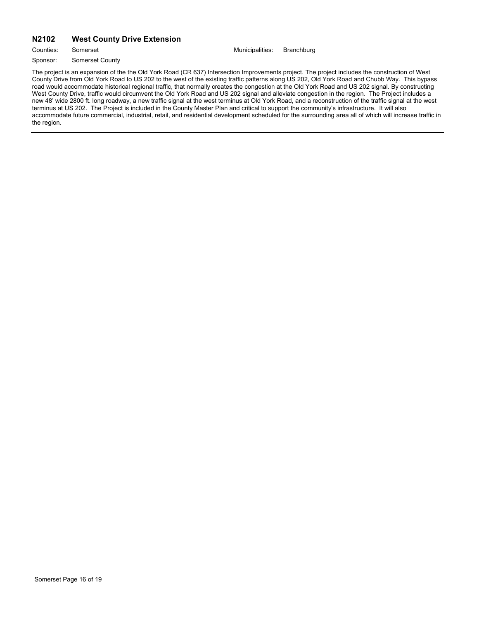#### **N2102 West County Drive Extension**

Counties: Somerset **Municipalities:** Branchburg

Sponsor: Somerset County

The project is an expansion of the the Old York Road (CR 637) Intersection Improvements project. The project includes the construction of West County Drive from Old York Road to US 202 to the west of the existing traffic patterns along US 202, Old York Road and Chubb Way. This bypass road would accommodate historical regional traffic, that normally creates the congestion at the Old York Road and US 202 signal. By constructing West County Drive, traffic would circumvent the Old York Road and US 202 signal and alleviate congestion in the region. The Project includes a new 48' wide 2800 ft. long roadway, a new traffic signal at the west terminus at Old York Road, and a reconstruction of the traffic signal at the west terminus at US 202. The Project is included in the County Master Plan and critical to support the community's infrastructure. It will also accommodate future commercial, industrial, retail, and residential development scheduled for the surrounding area all of which will increase traffic in the region.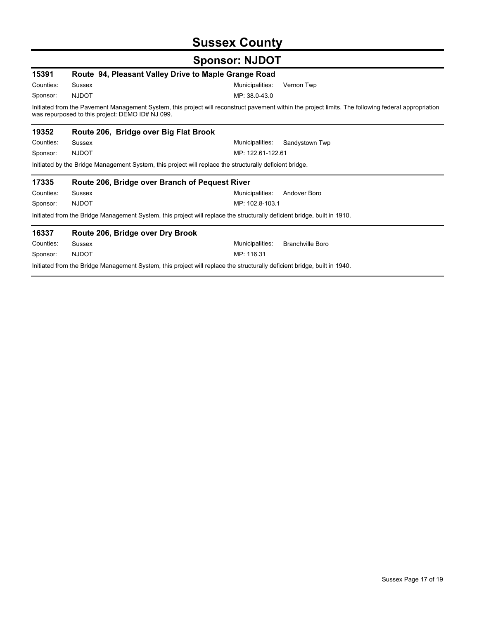# **Sussex County**

| 15391     | Route 94, Pleasant Valley Drive to Maple Grange Road                                                                     |                                                                                                                                                      |
|-----------|--------------------------------------------------------------------------------------------------------------------------|------------------------------------------------------------------------------------------------------------------------------------------------------|
| Counties: | <b>Sussex</b>                                                                                                            | Vernon Twp<br>Municipalities:                                                                                                                        |
| Sponsor:  | <b>NJDOT</b>                                                                                                             | MP: 38.0-43.0                                                                                                                                        |
|           | was repurposed to this project: DEMO ID# NJ 099.                                                                         | Initiated from the Pavement Management System, this project will reconstruct pavement within the project limits. The following federal appropriation |
| 19352     | Route 206, Bridge over Big Flat Brook                                                                                    |                                                                                                                                                      |
| Counties: | <b>Sussex</b>                                                                                                            | Municipalities:<br>Sandystown Twp                                                                                                                    |
| Sponsor:  | <b>NJDOT</b>                                                                                                             | MP: 122.61-122.61                                                                                                                                    |
|           | Initiated by the Bridge Management System, this project will replace the structurally deficient bridge.                  |                                                                                                                                                      |
| 17335     | Route 206, Bridge over Branch of Pequest River                                                                           |                                                                                                                                                      |
| Counties: | Sussex                                                                                                                   | Municipalities:<br>Andover Boro                                                                                                                      |
|           |                                                                                                                          |                                                                                                                                                      |
| Sponsor:  | <b>NJDOT</b>                                                                                                             | MP: 102.8-103.1                                                                                                                                      |
|           | Initiated from the Bridge Management System, this project will replace the structurally deficient bridge, built in 1910. |                                                                                                                                                      |
| 16337     | Route 206, Bridge over Dry Brook                                                                                         |                                                                                                                                                      |
| Counties: | Sussex                                                                                                                   | Municipalities:<br><b>Branchville Boro</b>                                                                                                           |
| Sponsor:  | <b>NJDOT</b>                                                                                                             | MP: 116.31                                                                                                                                           |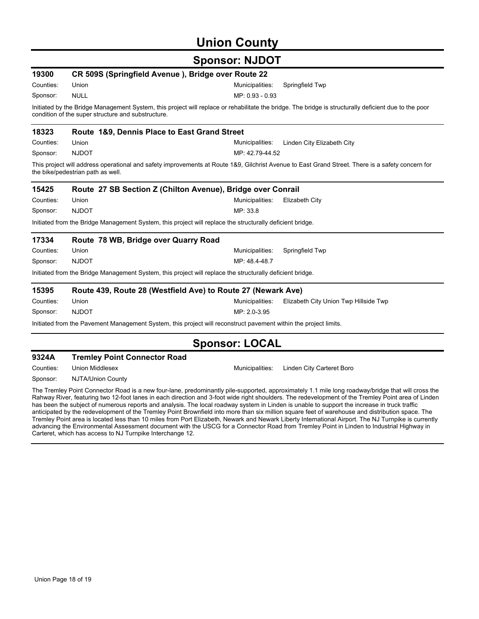## **Union County**

### **Sponsor: NJDOT**

| 19300                                                                                                                                                                                                       | CR 509S (Springfield Avenue), Bridge over Route 22           |                                                                                                                                                  |  |  |  |
|-------------------------------------------------------------------------------------------------------------------------------------------------------------------------------------------------------------|--------------------------------------------------------------|--------------------------------------------------------------------------------------------------------------------------------------------------|--|--|--|
| Counties:                                                                                                                                                                                                   | Union                                                        | Municipalities:<br>Springfield Twp                                                                                                               |  |  |  |
| Sponsor:                                                                                                                                                                                                    | <b>NULL</b>                                                  | MP: 0.93 - 0.93                                                                                                                                  |  |  |  |
| Initiated by the Bridge Management System, this project will replace or rehabilitate the bridge. The bridge is structurally deficient due to the poor<br>condition of the super structure and substructure. |                                                              |                                                                                                                                                  |  |  |  |
| 18323                                                                                                                                                                                                       | Route 1&9, Dennis Place to East Grand Street                 |                                                                                                                                                  |  |  |  |
| Counties:                                                                                                                                                                                                   | Union                                                        | Municipalities:<br>Linden City Elizabeth City                                                                                                    |  |  |  |
| Sponsor:                                                                                                                                                                                                    | <b>NJDOT</b>                                                 | MP: 42.79-44.52                                                                                                                                  |  |  |  |
|                                                                                                                                                                                                             | the bike/pedestrian path as well.                            | This project will address operational and safety improvements at Route 1&9, Gilchrist Avenue to East Grand Street. There is a safety concern for |  |  |  |
| 15425                                                                                                                                                                                                       |                                                              | Route 27 SB Section Z (Chilton Avenue), Bridge over Conrail                                                                                      |  |  |  |
| Counties:                                                                                                                                                                                                   | Union                                                        | Municipalities:<br>Elizabeth City                                                                                                                |  |  |  |
| Sponsor:                                                                                                                                                                                                    | <b>NJDOT</b>                                                 | MP: 33.8                                                                                                                                         |  |  |  |
|                                                                                                                                                                                                             |                                                              | Initiated from the Bridge Management System, this project will replace the structurally deficient bridge.                                        |  |  |  |
| 17334                                                                                                                                                                                                       | Route 78 WB, Bridge over Quarry Road                         |                                                                                                                                                  |  |  |  |
| Counties:                                                                                                                                                                                                   | Union                                                        | Municipalities:<br>Springfield Twp                                                                                                               |  |  |  |
| Sponsor:                                                                                                                                                                                                    | <b>NJDOT</b>                                                 | MP: 48.4-48.7                                                                                                                                    |  |  |  |
|                                                                                                                                                                                                             |                                                              | Initiated from the Bridge Management System, this project will replace the structurally deficient bridge.                                        |  |  |  |
| 15395                                                                                                                                                                                                       | Route 439, Route 28 (Westfield Ave) to Route 27 (Newark Ave) |                                                                                                                                                  |  |  |  |
| Counties:                                                                                                                                                                                                   | Union                                                        | Municipalities:<br>Elizabeth City Union Twp Hillside Twp                                                                                         |  |  |  |
| Sponsor:                                                                                                                                                                                                    | <b>NJDOT</b>                                                 | MP: 2.0-3.95                                                                                                                                     |  |  |  |
|                                                                                                                                                                                                             |                                                              | Initiated from the Pavement Management System, this project will reconstruct pavement within the project limits.                                 |  |  |  |
|                                                                                                                                                                                                             |                                                              | <b>Sponsor: LOCAL</b>                                                                                                                            |  |  |  |

### **9324A Tremley Point Connector Road**

Counties: Union Middlesex **Municipalities: Linden City Carteret Boro** 

Sponsor: NJTA/Union County

The Tremley Point Connector Road is a new four-lane, predominantly pile-supported, approximately 1.1 mile long roadway/bridge that will cross the Rahway River, featuring two 12-foot lanes in each direction and 3-foot wide right shoulders. The redevelopment of the Tremley Point area of Linden has been the subject of numerous reports and analysis. The local roadway system in Linden is unable to support the increase in truck traffic anticipated by the redevelopment of the Tremley Point Brownfield into more than six million square feet of warehouse and distribution space. The Tremley Point area is located less than 10 miles from Port Elizabeth, Newark and Newark Liberty International Airport. The NJ Turnpike is currently advancing the Environmental Assessment document with the USCG for a Connector Road from Tremley Point in Linden to Industrial Highway in Carteret, which has access to NJ Turnpike Interchange 12.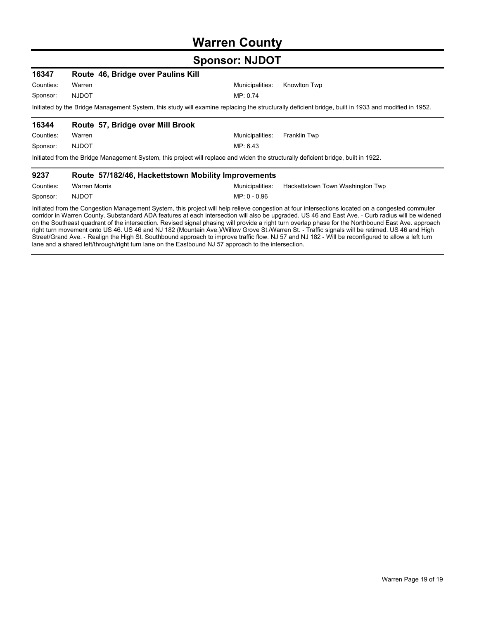### **Warren County**

### **Sponsor: NJDOT**

| 16347     | Route 46, Bridge over Paulins Kill                  |                                                                                                                                                     |
|-----------|-----------------------------------------------------|-----------------------------------------------------------------------------------------------------------------------------------------------------|
| Counties: | Warren                                              | Municipalities:<br>Knowlton Twp                                                                                                                     |
| Sponsor:  | <b>NJDOT</b>                                        | MP: 0.74                                                                                                                                            |
|           |                                                     | Initiated by the Bridge Management System, this study will examine replacing the structurally deficient bridge, built in 1933 and modified in 1952. |
| 16344     | Route 57, Bridge over Mill Brook                    |                                                                                                                                                     |
| Counties: | Warren                                              | Municipalities:<br><b>Franklin Twp</b>                                                                                                              |
| Sponsor:  | <b>NJDOT</b>                                        | MP: 6.43                                                                                                                                            |
|           |                                                     | Initiated from the Bridge Management System, this project will replace and widen the structurally deficient bridge, built in 1922.                  |
| 9237      | Route 57/182/46, Hackettstown Mobility Improvements |                                                                                                                                                     |
| Counties: | <b>Warren Morris</b>                                | Municipalities:<br>Hackettstown Town Washington Twp                                                                                                 |
| Sponsor:  | <b>NJDOT</b>                                        | $MP: 0 - 0.96$                                                                                                                                      |

Initiated from the Congestion Management System, this project will help relieve congestion at four intersections located on a congested commuter corridor in Warren County. Substandard ADA features at each intersection will also be upgraded. US 46 and East Ave. - Curb radius will be widened on the Southeast quadrant of the intersection. Revised signal phasing will provide a right turn overlap phase for the Northbound East Ave. approach right turn movement onto US 46. US 46 and NJ 182 (Mountain Ave.)/Willow Grove St./Warren St. - Traffic signals will be retimed. US 46 and High Street/Grand Ave. - Realign the High St. Southbound approach to improve traffic flow. NJ 57 and NJ 182 - Will be reconfigured to allow a left turn lane and a shared left/through/right turn lane on the Eastbound NJ 57 approach to the intersection.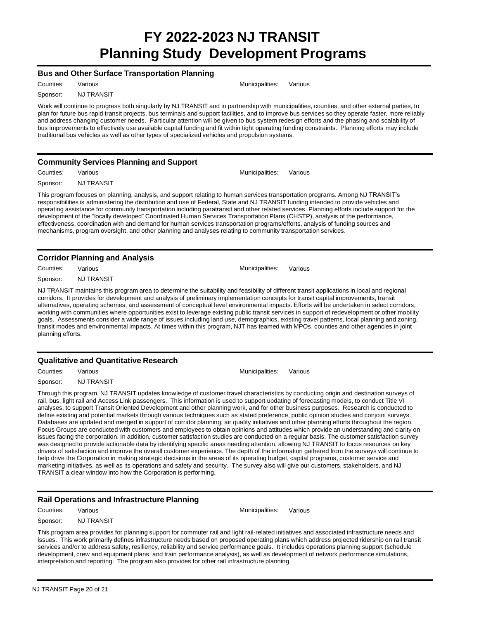# **FY 2022-2023 NJ TRANSIT Planning Study Development Programs**

#### **Bus and Other Surface Transportation Planning**

Counties: Various **Municipalities:** Various Municipalities: Various

Sponsor: NJ TRANSIT

Work will continue to progress both singularly by NJ TRANSIT and in partnership with municipalities, counties, and other external parties, to plan for future bus rapid transit projects, bus terminals and support facilities, and to improve bus services so they operate faster, more reliably and address changing customer needs. Particular attention will be given to bus system redesign efforts and the phasing and scalability of bus improvements to effectively use available capital funding and fit within tight operating funding constraints. Planning efforts may include traditional bus vehicles as well as other types of specialized vehicles and propulsion systems.

#### **Community Services Planning and Support**

Counties: Various Municipalities: Various Sponsor: NJ TRANSIT

This program focuses on planning, analysis, and support relating to human services transportation programs. Among NJ TRANSIT's responsibilities is administering the distribution and use of Federal, State and NJ TRANSIT funding intended to provide vehicles and operating assistance for community transportation including paratransit and other related services. Planning efforts include support for the development of the "locally developed" Coordinated Human Services Transportation Plans (CHSTP), analysis of the performance, effectiveness, coordination with and demand for human services transportation programs/efforts, analysis of funding sources and mechanisms, program oversight, and other planning and analyses relating to community transportation services.

#### **Corridor Planning and Analysis**

Counties: Various **Municipalities:** Various **Municipalities:** Various Sponsor: NJ TRANSIT NJ TRANSIT maintains this program area to determine the suitability and feasibility of different transit applications in local and regional

corridors. It provides for development and analysis of preliminary implementation concepts for transit capital improvements, transit alternatives, operating schemes, and assessment of conceptual level environmental impacts. Efforts will be undertaken in select corridors, working with communities where opportunities exist to leverage existing public transit services in support of redevelopment or other mobility goals. Assessments consider a wide range of issues including land use, demographics, existing travel patterns, local planning and zoning, transit modes and environmental impacts. At times within this program, NJT has teamed with MPOs, counties and other agencies in joint planning efforts.

#### **Qualitative and Quantitative Research**

Counties: Various **Municipalities:** Various Municipalities: Various

Sponsor: NJ TRANSIT

Through this program, NJ TRANSIT updates knowledge of customer travel characteristics by conducting origin and destination surveys of rail, bus, light rail and Access Link passengers. This information is used to support updating of forecasting models, to conduct Title VI analyses, to support Transit Oriented Development and other planning work, and for other business purposes. Research is conducted to define existing and potential markets through various techniques such as stated preference, public opinion studies and conjoint surveys. Databases are updated and merged in support of corridor planning, air quality initiatives and other planning efforts throughout the region. Focus Groups are conducted with customers and employees to obtain opinions and attitudes which provide an understanding and clarity on issues facing the corporation. In addition, customer satisfaction studies are conducted on a regular basis. The customer satisfaction survey was designed to provide actionable data by identifying specific areas needing attention, allowing NJ TRANSIT to focus resources on key drivers of satisfaction and improve the overall customer experience. The depth of the information gathered from the surveys will continue to help drive the Corporation in making strategic decisions in the areas of its operating budget, capital programs, customer service and marketing initiatives, as well as its operations and safety and security. The survey also will give our customers, stakeholders, and NJ TRANSIT a clear window into how the Corporation is performing.

#### **Rail Operations and Infrastructure Planning**

Counties: Various **Municipalities:** Various Municipalities: Various

Sponsor: NJ TRANSIT

This program area provides for planning support for commuter rail and light rail-related initiatives and associated infrastructure needs and issues. This work primarily defines infrastructure needs based on proposed operating plans which address projected ridership on rail transit services and/or to address safety, resiliency, reliability and service performance goals. It includes operations planning support (schedule development, crew and equipment plans, and train performance analysis), as well as development of network performance simulations, interpretation and reporting. The program also provides for other rail infrastructure planning.